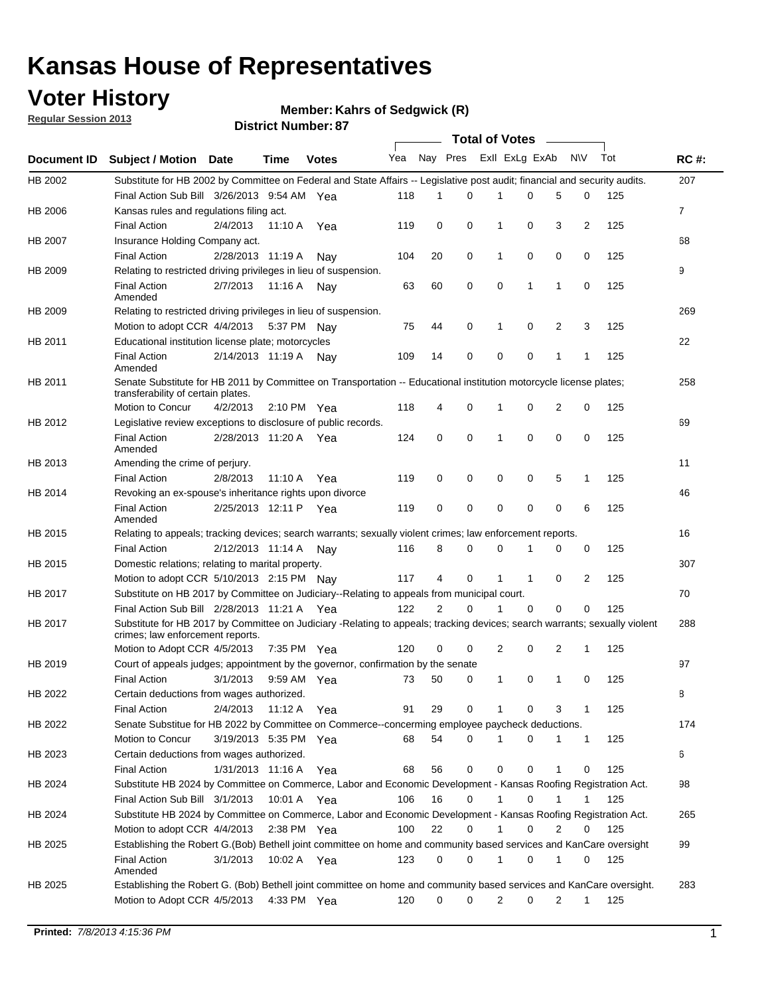## **Voter History**

**Member: Kahrs of Sedgwick (R)** 

**Regular Session 2013**

|             |                                                                                                                                                                |                       | PIJU IVI I TUHIDGI . U |              |                             |    | <b>Total of Votes</b> |                |              |                |                |     |                |
|-------------|----------------------------------------------------------------------------------------------------------------------------------------------------------------|-----------------------|------------------------|--------------|-----------------------------|----|-----------------------|----------------|--------------|----------------|----------------|-----|----------------|
| Document ID | <b>Subject / Motion Date</b>                                                                                                                                   |                       | <b>Time</b>            | <b>Votes</b> | Yea Nay Pres ExII ExLg ExAb |    |                       |                |              |                | N\V            | Tot | <b>RC#:</b>    |
| HB 2002     | Substitute for HB 2002 by Committee on Federal and State Affairs -- Legislative post audit; financial and security audits.                                     |                       |                        |              |                             |    |                       |                |              |                |                |     | 207            |
|             | Final Action Sub Bill 3/26/2013 9:54 AM Yea                                                                                                                    |                       |                        |              | 118                         | 1  | $\Omega$              |                | 0            | 5              | 0              | 125 |                |
| HB 2006     | Kansas rules and regulations filing act.                                                                                                                       |                       |                        |              |                             |    |                       |                |              |                |                |     | $\overline{7}$ |
|             | <b>Final Action</b>                                                                                                                                            | 2/4/2013              | 11:10 A Yea            |              | 119                         | 0  | 0                     | 1              | 0            | 3              | $\overline{2}$ | 125 |                |
| HB 2007     | Insurance Holding Company act.                                                                                                                                 |                       |                        |              |                             |    |                       |                |              |                |                |     | 68             |
|             | <b>Final Action</b>                                                                                                                                            | 2/28/2013 11:19 A     |                        | Nav          | 104                         | 20 | 0                     | 1              | 0            | 0              | 0              | 125 |                |
| HB 2009     | Relating to restricted driving privileges in lieu of suspension.                                                                                               |                       |                        |              |                             |    |                       |                |              |                |                |     | 9              |
|             | <b>Final Action</b><br>Amended                                                                                                                                 | 2/7/2013              | 11:16 A Nay            |              | 63                          | 60 | 0                     | 0              | 1            | $\mathbf{1}$   | 0              | 125 |                |
| HB 2009     | Relating to restricted driving privileges in lieu of suspension.                                                                                               |                       |                        |              |                             |    |                       |                |              |                |                |     | 269            |
|             | Motion to adopt CCR 4/4/2013                                                                                                                                   |                       | 5:37 PM Nav            |              | 75                          | 44 | 0                     | 1              | 0            | 2              | 3              | 125 |                |
| HB 2011     | Educational institution license plate; motorcycles                                                                                                             |                       |                        |              |                             |    |                       |                |              |                |                |     | 22             |
|             | <b>Final Action</b><br>Amended                                                                                                                                 | 2/14/2013 11:19 A     |                        | Nav          | 109                         | 14 | 0                     | 0              | 0            | 1              | 1              | 125 |                |
| HB 2011     | Senate Substitute for HB 2011 by Committee on Transportation -- Educational institution motorcycle license plates;<br>transferability of certain plates.       |                       |                        |              |                             |    |                       |                |              |                |                |     | 258            |
|             | Motion to Concur                                                                                                                                               | 4/2/2013              | $2:10 \text{ PM}$ Yea  |              | 118                         | 4  | 0                     | 1              | 0            | $\overline{2}$ | 0              | 125 |                |
| HB 2012     | Legislative review exceptions to disclosure of public records.                                                                                                 |                       |                        |              |                             |    |                       |                |              |                |                |     | 69             |
|             | <b>Final Action</b><br>Amended                                                                                                                                 | 2/28/2013 11:20 A Yea |                        |              | 124                         | 0  | 0                     | 1              | 0            | 0              | 0              | 125 |                |
| HB 2013     | Amending the crime of perjury.                                                                                                                                 |                       |                        |              |                             |    |                       |                |              |                |                |     | 11             |
|             | <b>Final Action</b>                                                                                                                                            | 2/8/2013              | 11:10 A                | Yea          | 119                         | 0  | 0                     | 0              | 0            | 5              | 1              | 125 |                |
| HB 2014     | Revoking an ex-spouse's inheritance rights upon divorce                                                                                                        |                       |                        |              |                             |    |                       |                |              |                |                |     | 46             |
|             | <b>Final Action</b><br>Amended                                                                                                                                 | 2/25/2013 12:11 P     |                        | Yea          | 119                         | 0  | 0                     | 0              | 0            | $\mathbf 0$    | 6              | 125 |                |
| HB 2015     | Relating to appeals; tracking devices; search warrants; sexually violent crimes; law enforcement reports.                                                      |                       |                        |              |                             |    |                       |                |              |                |                |     | 16             |
|             | <b>Final Action</b>                                                                                                                                            | 2/12/2013 11:14 A     |                        | Nav          | 116                         | 8  | 0                     | 0              | 1            | 0              | 0              | 125 |                |
| HB 2015     | Domestic relations; relating to marital property.                                                                                                              |                       |                        |              |                             |    |                       |                |              |                |                |     | 307            |
|             | Motion to adopt CCR 5/10/2013 2:15 PM Nay                                                                                                                      |                       |                        |              | 117                         | 4  | 0                     | $\mathbf{1}$   | $\mathbf{1}$ | 0              | $\overline{2}$ | 125 |                |
| HB 2017     | Substitute on HB 2017 by Committee on Judiciary--Relating to appeals from municipal court.                                                                     |                       |                        |              |                             |    |                       |                |              |                |                |     | 70             |
|             | Final Action Sub Bill 2/28/2013 11:21 A Yea                                                                                                                    |                       |                        |              | 122                         | 2  | 0                     | 1              | 0            | 0              | 0              | 125 |                |
| HB 2017     | Substitute for HB 2017 by Committee on Judiciary -Relating to appeals; tracking devices; search warrants; sexually violent<br>crimes; law enforcement reports. |                       |                        |              |                             |    |                       |                |              |                |                |     | 288            |
|             | Motion to Adopt CCR 4/5/2013                                                                                                                                   |                       | 7:35 PM Yea            |              | 120                         | 0  | 0                     | $\overline{2}$ | 0            | 2              | 1              | 125 |                |
| HB 2019     | Court of appeals judges; appointment by the governor, confirmation by the senate                                                                               |                       |                        |              |                             |    |                       |                |              |                |                |     | 97             |
|             | <b>Final Action</b>                                                                                                                                            | 3/1/2013              | 9:59 AM Yea            |              | 73                          | 50 | 0                     | $\mathbf{1}$   | 0            | 1              | 0              | 125 |                |
| HB 2022     | Certain deductions from wages authorized.                                                                                                                      |                       |                        |              |                             |    |                       |                |              |                |                |     | 8              |
|             | <b>Final Action</b>                                                                                                                                            | 2/4/2013              | 11:12 A                | Yea          | 91                          | 29 | 0                     |                | 0            | 3              | 1              | 125 |                |
| HB 2022     | Senate Substitue for HB 2022 by Committee on Commerce--concerming employee paycheck deductions.                                                                |                       |                        |              |                             |    |                       |                |              |                |                |     | 174            |
|             | Motion to Concur                                                                                                                                               | 3/19/2013 5:35 PM Yea |                        |              | 68                          | 54 | 0                     | 1              | 0            | 1              | $\mathbf{1}$   | 125 |                |
| HB 2023     | Certain deductions from wages authorized.                                                                                                                      |                       |                        |              |                             |    |                       |                |              |                |                |     | 6              |
|             | <b>Final Action</b>                                                                                                                                            | 1/31/2013 11:16 A     |                        | Yea          | 68                          | 56 | 0                     | 0              | 0            | 1              | 0              | 125 |                |
| HB 2024     | Substitute HB 2024 by Committee on Commerce, Labor and Economic Development - Kansas Roofing Registration Act.                                                 |                       |                        |              |                             |    |                       |                |              |                |                |     | 98             |
|             | Final Action Sub Bill 3/1/2013                                                                                                                                 |                       | 10:01 A Yea            |              | 106                         | 16 | 0                     | 1              | 0            | 1              | 1              | 125 |                |
| HB 2024     | Substitute HB 2024 by Committee on Commerce, Labor and Economic Development - Kansas Roofing Registration Act.                                                 |                       |                        |              |                             |    |                       |                |              |                |                |     | 265            |
|             | Motion to adopt CCR 4/4/2013                                                                                                                                   |                       | 2:38 PM Yea            |              | 100                         | 22 | 0                     | $\mathbf{1}$   | 0            | 2              | 0              | 125 |                |
| HB 2025     | Establishing the Robert G.(Bob) Bethell joint committee on home and community based services and KanCare oversight                                             |                       |                        |              |                             |    |                       |                |              |                |                |     | 99             |
|             | <b>Final Action</b><br>Amended                                                                                                                                 | 3/1/2013              | 10:02 A Yea            |              | 123                         | 0  | 0                     | 1              | 0            | 1              | 0              | 125 |                |
| HB 2025     | Establishing the Robert G. (Bob) Bethell joint committee on home and community based services and KanCare oversight.                                           |                       |                        |              |                             |    |                       |                |              |                |                |     | 283            |
|             | Motion to Adopt CCR 4/5/2013                                                                                                                                   |                       | 4:33 PM Yea            |              | 120                         | 0  | 0                     | 2              | 0            | 2              | 1              | 125 |                |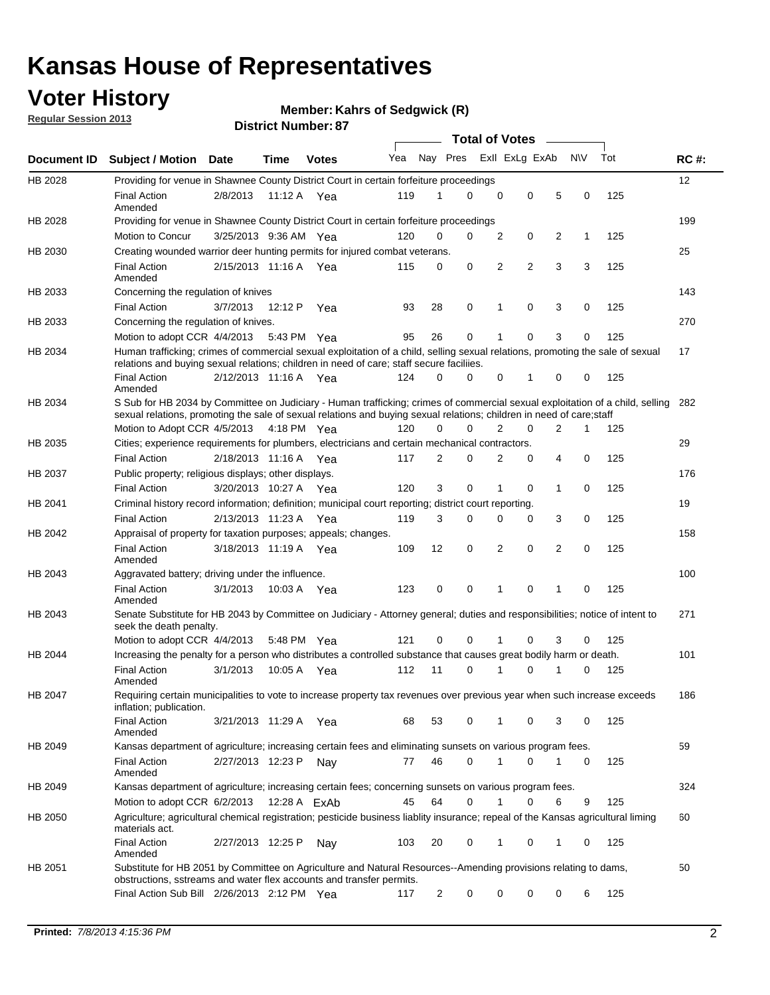## **Voter History**

**Member: Kahrs of Sedgwick (R)** 

**Regular Session 2013**

|             |                                                                                                                                                                                                                                                       |                       |         |              |     |                | <b>Total of Votes</b> |   |                |   |           |     |             |
|-------------|-------------------------------------------------------------------------------------------------------------------------------------------------------------------------------------------------------------------------------------------------------|-----------------------|---------|--------------|-----|----------------|-----------------------|---|----------------|---|-----------|-----|-------------|
| Document ID | <b>Subject / Motion Date</b>                                                                                                                                                                                                                          |                       | Time    | <b>Votes</b> | Yea | Nay Pres       |                       |   | Exll ExLg ExAb |   | <b>NV</b> | Tot | <b>RC#:</b> |
| HB 2028     | Providing for venue in Shawnee County District Court in certain forfeiture proceedings                                                                                                                                                                |                       |         |              |     |                |                       |   |                |   |           |     | 12          |
|             | <b>Final Action</b><br>Amended                                                                                                                                                                                                                        | 2/8/2013              |         | 11:12 A Yea  | 119 | 1              | $\Omega$              | 0 | 0              | 5 | 0         | 125 |             |
| HB 2028     | Providing for venue in Shawnee County District Court in certain forfeiture proceedings                                                                                                                                                                |                       |         |              |     |                |                       |   |                |   |           |     | 199         |
|             | Motion to Concur                                                                                                                                                                                                                                      | 3/25/2013 9:36 AM Yea |         |              | 120 | 0              | 0                     | 2 | 0              | 2 | 1         | 125 |             |
| HB 2030     | Creating wounded warrior deer hunting permits for injured combat veterans.                                                                                                                                                                            |                       |         |              |     |                |                       |   |                |   |           |     | 25          |
|             | <b>Final Action</b><br>Amended                                                                                                                                                                                                                        | 2/15/2013 11:16 A     |         | Yea          | 115 | 0              | 0                     | 2 | $\overline{2}$ | 3 | 3         | 125 |             |
| HB 2033     | Concerning the regulation of knives                                                                                                                                                                                                                   |                       |         |              |     |                |                       |   |                |   |           |     | 143         |
|             | <b>Final Action</b>                                                                                                                                                                                                                                   | 3/7/2013              | 12:12 P | Yea          | 93  | 28             | 0                     | 1 | 0              | 3 | 0         | 125 |             |
| HB 2033     | Concerning the regulation of knives.                                                                                                                                                                                                                  |                       |         |              |     |                |                       |   |                |   |           |     | 270         |
|             | Motion to adopt CCR 4/4/2013                                                                                                                                                                                                                          |                       |         | 5:43 PM Yea  | 95  | 26             | 0                     |   | 0              | 3 | 0         | 125 |             |
| HB 2034     | Human trafficking; crimes of commercial sexual exploitation of a child, selling sexual relations, promoting the sale of sexual<br>relations and buying sexual relations; children in need of care; staff secure faciliies.                            |                       |         |              |     |                |                       |   |                |   |           |     | 17          |
|             | <b>Final Action</b><br>Amended                                                                                                                                                                                                                        | 2/12/2013 11:16 A Yea |         |              | 124 | $\Omega$       | 0                     | 0 | 1              | 0 | 0         | 125 |             |
| HB 2034     | S Sub for HB 2034 by Committee on Judiciary - Human trafficking; crimes of commercial sexual exploitation of a child, selling<br>sexual relations, promoting the sale of sexual relations and buying sexual relations; children in need of care;staff |                       |         |              |     |                |                       |   |                |   |           |     | 282         |
|             | Motion to Adopt CCR 4/5/2013 4:18 PM Yea                                                                                                                                                                                                              |                       |         |              | 120 | 0              | 0                     | 2 | 0              | 2 | 1         | 125 |             |
| HB 2035     | Cities; experience requirements for plumbers, electricians and certain mechanical contractors.                                                                                                                                                        |                       |         |              |     |                |                       |   |                |   |           |     | 29          |
|             | <b>Final Action</b>                                                                                                                                                                                                                                   | 2/18/2013 11:16 A     |         | Yea          | 117 | 2              | 0                     | 2 | 0              | 4 | 0         | 125 |             |
| HB 2037     | Public property; religious displays; other displays.                                                                                                                                                                                                  |                       |         |              |     |                |                       |   |                |   |           |     | 176         |
|             | <b>Final Action</b>                                                                                                                                                                                                                                   | 3/20/2013 10:27 A     |         | Yea          | 120 | 3              | 0                     | 1 | 0              | 1 | 0         | 125 |             |
| HB 2041     | Criminal history record information; definition; municipal court reporting; district court reporting.                                                                                                                                                 |                       |         |              |     |                |                       |   |                |   |           |     | 19          |
|             | <b>Final Action</b>                                                                                                                                                                                                                                   | 2/13/2013 11:23 A     |         | Yea          | 119 | 3              | 0                     | 0 | 0              | 3 | 0         | 125 |             |
| HB 2042     | Appraisal of property for taxation purposes; appeals; changes.                                                                                                                                                                                        |                       |         |              |     |                |                       |   |                |   |           |     | 158         |
|             | <b>Final Action</b><br>Amended                                                                                                                                                                                                                        | 3/18/2013 11:19 A     |         | Yea          | 109 | 12             | 0                     | 2 | 0              | 2 | 0         | 125 |             |
| HB 2043     | Aggravated battery; driving under the influence.                                                                                                                                                                                                      |                       |         |              |     |                |                       |   |                |   |           |     | 100         |
|             | <b>Final Action</b><br>Amended                                                                                                                                                                                                                        | 3/1/2013              |         | 10:03 A Yea  | 123 | 0              | 0                     |   | 0              | 1 | 0         | 125 |             |
| HB 2043     | Senate Substitute for HB 2043 by Committee on Judiciary - Attorney general; duties and responsibilities; notice of intent to<br>seek the death penalty.                                                                                               |                       |         |              |     |                |                       |   |                |   |           |     | 271         |
|             | Motion to adopt CCR 4/4/2013                                                                                                                                                                                                                          |                       |         | 5:48 PM Yea  | 121 | 0              | 0                     |   | 0              | 3 | 0         | 125 |             |
| HB 2044     | Increasing the penalty for a person who distributes a controlled substance that causes great bodily harm or death.                                                                                                                                    |                       |         |              |     |                |                       |   |                |   |           |     | 101         |
|             | <b>Final Action</b><br>Amended                                                                                                                                                                                                                        | 3/1/2013              | 10:05 A | Yea          | 112 | 11             | 0                     |   | 0              |   | 0         | 125 |             |
| HB 2047     | Requiring certain municipalities to vote to increase property tax revenues over previous year when such increase exceeds<br>inflation; publication.                                                                                                   |                       |         |              |     |                |                       |   |                |   |           |     | 186         |
|             | <b>Final Action</b><br>Amended                                                                                                                                                                                                                        | 3/21/2013 11:29 A Yea |         |              | 68  | 53             | 0                     |   | 0              | 3 | 0         | 125 |             |
| HB 2049     | Kansas department of agriculture; increasing certain fees and eliminating sunsets on various program fees.                                                                                                                                            |                       |         |              |     |                |                       |   |                |   |           |     | 59          |
|             | <b>Final Action</b><br>Amended                                                                                                                                                                                                                        | 2/27/2013 12:23 P     |         | Nav          | 77  | 46             | 0                     | 1 | 0              | 1 | 0         | 125 |             |
| HB 2049     | Kansas department of agriculture; increasing certain fees; concerning sunsets on various program fees.                                                                                                                                                |                       |         |              |     |                |                       |   |                |   |           |     | 324         |
|             | Motion to adopt CCR 6/2/2013                                                                                                                                                                                                                          |                       |         | 12:28 A FxAh | 45  | 64             | 0                     |   | 0              | 6 | 9         | 125 |             |
| HB 2050     | Agriculture; agricultural chemical registration; pesticide business liablity insurance; repeal of the Kansas agricultural liming<br>materials act.                                                                                                    |                       |         |              |     |                |                       |   |                |   |           |     | 60          |
|             | <b>Final Action</b><br>Amended                                                                                                                                                                                                                        | 2/27/2013 12:25 P     |         | Nay          | 103 | 20             | 0                     | 1 | 0              | 1 | 0         | 125 |             |
| HB 2051     | Substitute for HB 2051 by Committee on Agriculture and Natural Resources--Amending provisions relating to dams,<br>obstructions, sstreams and water flex accounts and transfer permits.                                                               |                       |         |              |     |                |                       |   |                |   |           |     | 50          |
|             | Final Action Sub Bill 2/26/2013 2:12 PM Yea                                                                                                                                                                                                           |                       |         |              | 117 | $\overline{c}$ | 0                     | 0 | 0              | 0 | 6         | 125 |             |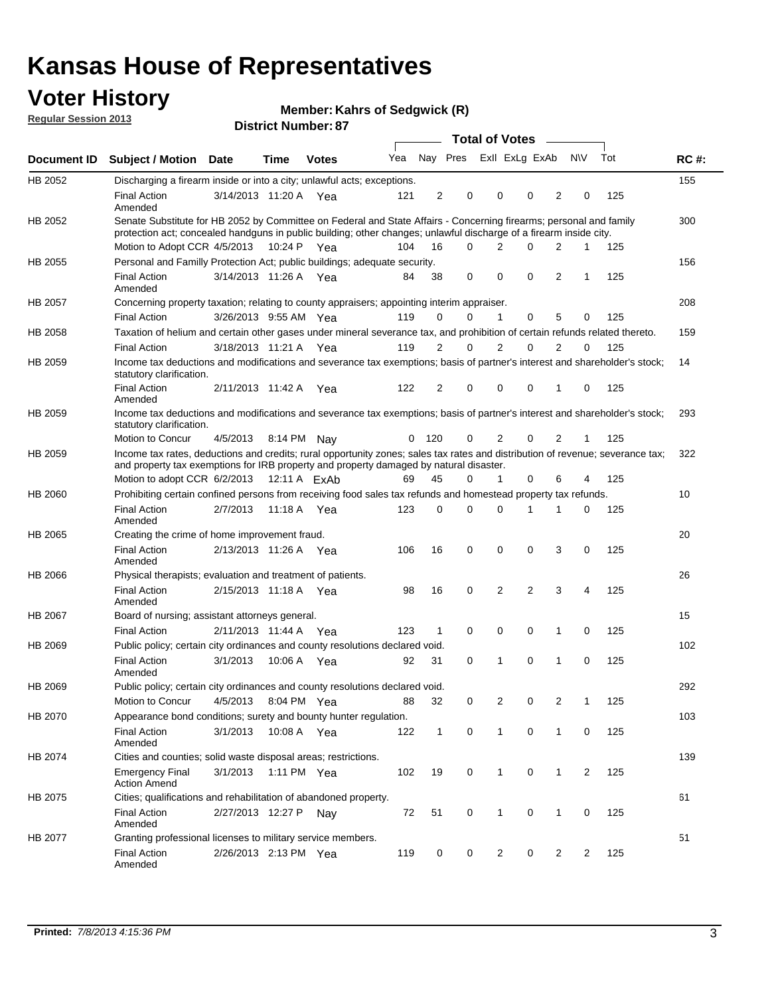## **Voter History**

**Member: Kahrs of Sedgwick (R)** 

**Regular Session 2013**

|                |                                                                                                                                                                                                                                          |                       |             | וט . וסטוווטרו ועוווסו |     |                |                             | <b>Total of Votes</b> | $\sim$      |              |                |     |             |
|----------------|------------------------------------------------------------------------------------------------------------------------------------------------------------------------------------------------------------------------------------------|-----------------------|-------------|------------------------|-----|----------------|-----------------------------|-----------------------|-------------|--------------|----------------|-----|-------------|
| Document ID    | <b>Subject / Motion Date</b>                                                                                                                                                                                                             |                       | <b>Time</b> | <b>Votes</b>           |     |                | Yea Nay Pres ExII ExLg ExAb |                       |             |              | <b>NV</b>      | Tot | <b>RC#:</b> |
| HB 2052        | Discharging a firearm inside or into a city; unlawful acts; exceptions.                                                                                                                                                                  |                       |             |                        |     |                |                             |                       |             |              |                |     | 155         |
|                | <b>Final Action</b><br>Amended                                                                                                                                                                                                           | 3/14/2013 11:20 A Yea |             |                        | 121 | $\overline{2}$ | 0                           | 0                     | 0           | 2            | 0              | 125 |             |
| HB 2052        | Senate Substitute for HB 2052 by Committee on Federal and State Affairs - Concerning firearms; personal and family<br>protection act; concealed handguns in public building; other changes; unlawful discharge of a firearm inside city. |                       |             |                        |     |                |                             |                       |             |              |                |     | 300         |
|                | Motion to Adopt CCR 4/5/2013 10:24 P Yea                                                                                                                                                                                                 |                       |             |                        | 104 | 16             | 0                           | 2                     | 0           | 2            | 1              | 125 |             |
| HB 2055        | Personal and Familly Protection Act; public buildings; adequate security.                                                                                                                                                                |                       |             |                        |     |                |                             |                       |             |              |                |     | 156         |
|                | <b>Final Action</b><br>Amended                                                                                                                                                                                                           | 3/14/2013 11:26 A Yea |             |                        | 84  | 38             | 0                           | 0                     | 0           | 2            | 1              | 125 |             |
| HB 2057        | Concerning property taxation; relating to county appraisers; appointing interim appraiser.                                                                                                                                               |                       |             |                        |     |                |                             |                       |             |              |                |     | 208         |
|                | <b>Final Action</b>                                                                                                                                                                                                                      | 3/26/2013 9:55 AM Yea |             |                        | 119 | 0              | $\Omega$                    | 1                     | 0           | 5            | 0              | 125 |             |
| HB 2058        | Taxation of helium and certain other gases under mineral severance tax, and prohibition of certain refunds related thereto.                                                                                                              |                       |             |                        |     |                |                             |                       |             |              |                |     | 159         |
|                | <b>Final Action</b>                                                                                                                                                                                                                      | 3/18/2013 11:21 A Yea |             |                        | 119 | 2              | $\Omega$                    | 2                     | $\Omega$    | 2            | $\Omega$       | 125 |             |
| HB 2059        | Income tax deductions and modifications and severance tax exemptions; basis of partner's interest and shareholder's stock;<br>statutory clarification.                                                                                   |                       |             |                        |     |                |                             |                       |             |              |                |     | 14          |
|                | <b>Final Action</b><br>Amended                                                                                                                                                                                                           | 2/11/2013 11:42 A     |             | Yea                    | 122 | $\overline{2}$ | 0                           | 0                     | 0           | 1            | 0              | 125 |             |
| HB 2059        | Income tax deductions and modifications and severance tax exemptions; basis of partner's interest and shareholder's stock;<br>statutory clarification.                                                                                   |                       |             |                        |     |                |                             |                       |             |              |                |     | 293         |
|                | Motion to Concur                                                                                                                                                                                                                         | 4/5/2013              |             | 8:14 PM Nay            | 0   | 120            | 0                           | 2                     | 0           | 2            | 1              | 125 |             |
| HB 2059        | Income tax rates, deductions and credits; rural opportunity zones; sales tax rates and distribution of revenue; severance tax;<br>and property tax exemptions for IRB property and property damaged by natural disaster.                 |                       |             |                        |     |                |                             |                       |             |              |                |     | 322         |
|                | Motion to adopt CCR 6/2/2013                                                                                                                                                                                                             |                       |             | 12:11 A FxAb           | 69  | 45             | 0                           | $\mathbf{1}$          | 0           | 6            | 4              | 125 |             |
| <b>HB 2060</b> | Prohibiting certain confined persons from receiving food sales tax refunds and homestead property tax refunds.                                                                                                                           |                       |             |                        |     |                |                             |                       |             |              |                |     | 10          |
|                | <b>Final Action</b><br>Amended                                                                                                                                                                                                           | 2/7/2013              | 11:18 A     | Yea                    | 123 | 0              | $\Omega$                    | 0                     | 1           | 1            | 0              | 125 |             |
| HB 2065        | Creating the crime of home improvement fraud.                                                                                                                                                                                            |                       |             |                        |     |                |                             |                       |             |              |                |     | 20          |
|                | <b>Final Action</b><br>Amended                                                                                                                                                                                                           | 2/13/2013 11:26 A Yea |             |                        | 106 | 16             | 0                           | 0                     | 0           | 3            | 0              | 125 |             |
| HB 2066        | Physical therapists; evaluation and treatment of patients.                                                                                                                                                                               |                       |             |                        |     |                |                             |                       |             |              |                |     | 26          |
|                | <b>Final Action</b><br>Amended                                                                                                                                                                                                           | 2/15/2013 11:18 A Yea |             |                        | 98  | 16             | $\mathbf 0$                 | 2                     | 2           | 3            | 4              | 125 |             |
| HB 2067        | Board of nursing; assistant attorneys general.                                                                                                                                                                                           |                       |             |                        |     |                |                             |                       |             |              |                |     | 15          |
|                | <b>Final Action</b>                                                                                                                                                                                                                      | 2/11/2013 11:44 A Yea |             |                        | 123 | $\mathbf{1}$   | 0                           | 0                     | 0           | 1            | 0              | 125 |             |
| HB 2069        | Public policy; certain city ordinances and county resolutions declared void.                                                                                                                                                             |                       |             |                        |     |                |                             |                       |             |              |                |     | 102         |
|                | <b>Final Action</b><br>Amended                                                                                                                                                                                                           | 3/1/2013              |             | 10:06 A Yea            | 92  | 31             | 0                           | 1                     | 0           | 1            | 0              | 125 |             |
| HB 2069        | Public policy; certain city ordinances and county resolutions declared void.                                                                                                                                                             |                       |             |                        |     |                |                             |                       |             |              |                |     | 292         |
|                | Motion to Concur                                                                                                                                                                                                                         | 4/5/2013              |             | 8:04 PM Yea            | 88  | 32             | 0                           | 2                     | 0           | 2            | 1              | 125 |             |
| HB 2070        | Appearance bond conditions; surety and bounty hunter regulation.                                                                                                                                                                         |                       |             |                        |     |                |                             |                       |             |              |                |     | 103         |
|                | <b>Final Action</b><br>Amended                                                                                                                                                                                                           | 3/1/2013              |             | 10:08 A Yea            | 122 | $\mathbf{1}$   | 0                           | $\mathbf{1}$          | $\mathbf 0$ | $\mathbf{1}$ | 0              | 125 |             |
| HB 2074        | Cities and counties; solid waste disposal areas; restrictions.                                                                                                                                                                           |                       |             |                        |     |                |                             |                       |             |              |                |     | 139         |
|                | <b>Emergency Final</b><br><b>Action Amend</b>                                                                                                                                                                                            | 3/1/2013              |             | 1:11 PM Yea            | 102 | 19             | 0                           | 1                     | 0           | $\mathbf{1}$ | $\overline{2}$ | 125 |             |
| HB 2075        | Cities; qualifications and rehabilitation of abandoned property.                                                                                                                                                                         |                       |             |                        |     |                |                             |                       |             |              |                |     | 61          |
|                | <b>Final Action</b><br>Amended                                                                                                                                                                                                           | 2/27/2013 12:27 P     |             | Nav                    | 72  | 51             | 0                           | 1                     | 0           | 1            | 0              | 125 |             |
| HB 2077        | Granting professional licenses to military service members.                                                                                                                                                                              |                       |             |                        |     |                |                             |                       |             |              |                |     | 51          |
|                | <b>Final Action</b><br>Amended                                                                                                                                                                                                           | 2/26/2013 2:13 PM Yea |             |                        | 119 | 0              | 0                           | 2                     | 0           | 2            | 2              | 125 |             |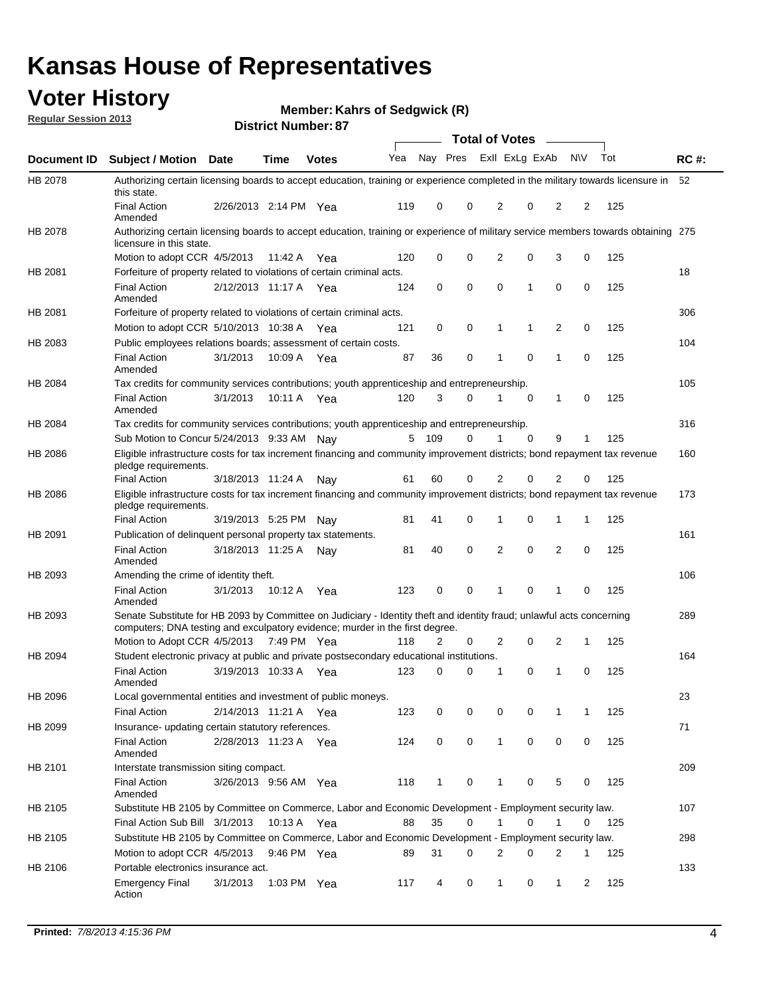## **Voter History**

**Member: Kahrs of Sedgwick (R)** 

**Regular Session 2013**

|             |                                                                                                                                                                                                       |                       | וט . וסטווואז ועוווסוע |              |     |              |             | <b>Total of Votes</b> |          | $\sim$         |           |     |             |
|-------------|-------------------------------------------------------------------------------------------------------------------------------------------------------------------------------------------------------|-----------------------|------------------------|--------------|-----|--------------|-------------|-----------------------|----------|----------------|-----------|-----|-------------|
| Document ID | <b>Subject / Motion Date</b>                                                                                                                                                                          |                       | <b>Time</b>            | <b>Votes</b> | Yea | Nay Pres     |             | Exll ExLg ExAb        |          |                | <b>NV</b> | Tot | <b>RC#:</b> |
| HB 2078     | Authorizing certain licensing boards to accept education, training or experience completed in the military towards licensure in<br>this state.                                                        |                       |                        |              |     |              |             |                       |          |                |           |     | 52          |
|             | <b>Final Action</b><br>Amended                                                                                                                                                                        | 2/26/2013 2:14 PM Yea |                        |              | 119 | 0            | 0           | 2                     | 0        | 2              | 2         | 125 |             |
| HB 2078     | Authorizing certain licensing boards to accept education, training or experience of military service members towards obtaining 275<br>licensure in this state.                                        |                       |                        |              |     |              |             |                       |          |                |           |     |             |
|             | Motion to adopt CCR 4/5/2013                                                                                                                                                                          |                       | 11:42 A                | Yea          | 120 | 0            | $\mathbf 0$ | $\overline{2}$        | 0        | 3              | 0         | 125 |             |
| HB 2081     | Forfeiture of property related to violations of certain criminal acts.                                                                                                                                |                       |                        |              |     |              |             |                       |          |                |           |     | 18          |
|             | <b>Final Action</b><br>Amended                                                                                                                                                                        | 2/12/2013 11:17 A Yea |                        |              | 124 | 0            | 0           | $\Omega$              | 1        | 0              | 0         | 125 |             |
| HB 2081     | Forfeiture of property related to violations of certain criminal acts.                                                                                                                                |                       |                        |              |     |              |             |                       |          |                |           |     | 306         |
|             | Motion to adopt CCR 5/10/2013 10:38 A                                                                                                                                                                 |                       |                        | Yea          | 121 | 0            | 0           | 1                     | 1        | 2              | 0         | 125 |             |
| HB 2083     | Public employees relations boards; assessment of certain costs.                                                                                                                                       |                       |                        |              |     |              |             |                       |          |                |           |     | 104         |
|             | <b>Final Action</b><br>Amended                                                                                                                                                                        | 3/1/2013              | 10:09 A                | Yea          | 87  | 36           | 0           | 1                     | 0        | 1              | 0         | 125 |             |
| HB 2084     | Tax credits for community services contributions; youth apprenticeship and entrepreneurship.                                                                                                          |                       |                        |              |     |              |             |                       |          |                |           |     | 105         |
|             | <b>Final Action</b><br>Amended                                                                                                                                                                        | 3/1/2013              | 10:11 A                | Yea          | 120 | 3            | $\Omega$    |                       | 0        | $\mathbf{1}$   | 0         | 125 |             |
| HB 2084     | Tax credits for community services contributions; youth apprenticeship and entrepreneurship.                                                                                                          |                       |                        |              |     |              |             |                       |          |                |           |     | 316         |
|             | Sub Motion to Concur 5/24/2013 9:33 AM Nav                                                                                                                                                            |                       |                        |              | 5   | - 109        | $\Omega$    | 1                     | $\Omega$ | 9              | 1         | 125 |             |
| HB 2086     | Eligible infrastructure costs for tax increment financing and community improvement districts; bond repayment tax revenue<br>pledge requirements.                                                     |                       |                        |              |     |              |             |                       |          |                |           |     | 160         |
|             | <b>Final Action</b>                                                                                                                                                                                   | 3/18/2013 11:24 A     |                        | Nay          | 61  | 60           | 0           | 2                     | 0        | 2              | 0         | 125 |             |
| HB 2086     | Eligible infrastructure costs for tax increment financing and community improvement districts; bond repayment tax revenue<br>pledge requirements.                                                     |                       |                        |              |     |              |             |                       |          |                |           |     | 173         |
|             | <b>Final Action</b>                                                                                                                                                                                   | 3/19/2013 5:25 PM     |                        | Nay          | 81  | 41           | 0           | 1                     | 0        | 1              | 1         | 125 |             |
| HB 2091     | Publication of delinquent personal property tax statements.                                                                                                                                           |                       |                        |              |     |              |             |                       |          |                |           |     | 161         |
|             | <b>Final Action</b><br>Amended                                                                                                                                                                        | 3/18/2013 11:25 A     |                        | Nav          | 81  | 40           | 0           | 2                     | 0        | $\overline{2}$ | 0         | 125 |             |
| HB 2093     | Amending the crime of identity theft.                                                                                                                                                                 |                       |                        |              |     |              |             |                       |          |                |           |     | 106         |
|             | <b>Final Action</b><br>Amended                                                                                                                                                                        | 3/1/2013              | 10:12 A                | Yea          | 123 | 0            | $\Omega$    | 1                     | 0        | 1              | 0         | 125 |             |
| HB 2093     | Senate Substitute for HB 2093 by Committee on Judiciary - Identity theft and identity fraud; unlawful acts concerning<br>computers; DNA testing and exculpatory evidence; murder in the first degree. |                       |                        |              |     |              |             |                       |          |                |           |     | 289         |
|             | Motion to Adopt CCR 4/5/2013 7:49 PM Yea                                                                                                                                                              |                       |                        |              | 118 | 2            | 0           | 2                     | 0        | 2              | 1         | 125 |             |
| HB 2094     | Student electronic privacy at public and private postsecondary educational institutions.                                                                                                              |                       |                        |              |     |              |             |                       |          |                |           |     | 164         |
|             | <b>Final Action</b><br>Amended                                                                                                                                                                        | 3/19/2013 10:33 A     |                        | Yea          | 123 | 0            | 0           | 1                     | 0        | 1              | 0         | 125 |             |
| HB 2096     | Local governmental entities and investment of public moneys.                                                                                                                                          |                       |                        |              |     |              |             |                       |          |                |           |     | 23          |
|             | <b>Final Action</b>                                                                                                                                                                                   | 2/14/2013 11:21 A     |                        | Yea          | 123 | 0            | 0           | 0                     | 0        | 1              | 1         | 125 |             |
| HB 2099     | Insurance- updating certain statutory references.                                                                                                                                                     |                       |                        |              |     |              |             |                       |          |                |           |     | 71          |
|             | <b>Final Action</b><br>Amended                                                                                                                                                                        | 2/28/2013 11:23 A     |                        | Yea          | 124 | 0            | 0           | 1                     | 0        | 0              | 0         | 125 |             |
| HB 2101     | Interstate transmission siting compact.                                                                                                                                                               |                       |                        |              |     |              |             |                       |          |                |           |     | 209         |
|             | Final Action<br>Amended                                                                                                                                                                               | 3/26/2013 9:56 AM Yea |                        |              | 118 | $\mathbf{1}$ | 0           | 1                     | 0        | 5              | 0         | 125 |             |
| HB 2105     | Substitute HB 2105 by Committee on Commerce, Labor and Economic Development - Employment security law.                                                                                                |                       |                        |              |     |              |             |                       |          |                |           |     | 107         |
|             | Final Action Sub Bill 3/1/2013                                                                                                                                                                        |                       | 10:13 A Yea            |              | 88  | 35           | 0           |                       | 0        | 1              | 0         | 125 |             |
| HB 2105     | Substitute HB 2105 by Committee on Commerce, Labor and Economic Development - Employment security law.                                                                                                |                       |                        |              |     |              |             |                       |          |                |           |     | 298         |
|             | Motion to adopt CCR 4/5/2013                                                                                                                                                                          |                       | 9:46 PM Yea            |              | 89  | 31           | 0           | 2                     | 0        | 2              | 1         | 125 |             |
| HB 2106     | Portable electronics insurance act.                                                                                                                                                                   |                       |                        |              |     |              |             |                       |          |                |           |     | 133         |
|             | <b>Emergency Final</b><br>Action                                                                                                                                                                      | 3/1/2013              | 1:03 PM Yea            |              | 117 | 4            | 0           | $\mathbf{1}$          | 0        | $\mathbf{1}$   | 2         | 125 |             |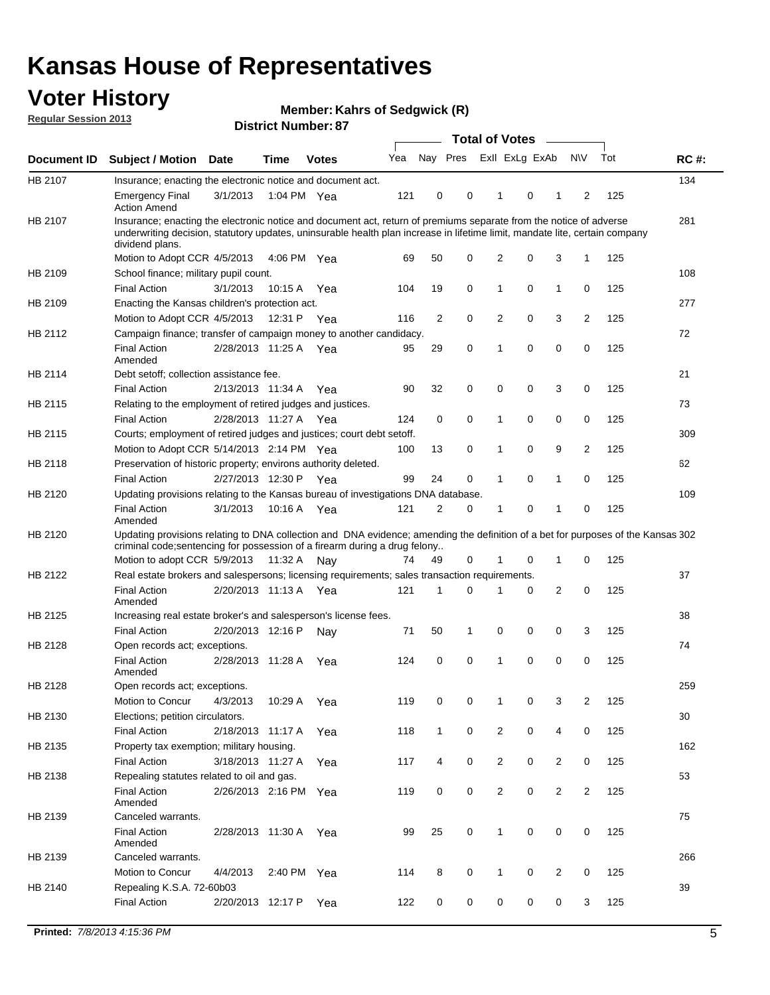## **Voter History**

**Member: Kahrs of Sedgwick (R)** 

**Regular Session 2013**

|             |                                                                                                                                                                                                                                                                      |                       | PIJU IVI INUI IIVU . VI |              |     |              | <b>Total of Votes</b> |                |   | $\sim$         |                |     |             |
|-------------|----------------------------------------------------------------------------------------------------------------------------------------------------------------------------------------------------------------------------------------------------------------------|-----------------------|-------------------------|--------------|-----|--------------|-----------------------|----------------|---|----------------|----------------|-----|-------------|
| Document ID | <b>Subject / Motion Date</b>                                                                                                                                                                                                                                         |                       | <b>Time</b>             | <b>Votes</b> | Yea | Nay Pres     |                       | Exll ExLg ExAb |   |                | <b>NV</b>      | Tot | <b>RC#:</b> |
| HB 2107     | Insurance; enacting the electronic notice and document act.                                                                                                                                                                                                          |                       |                         |              |     |              |                       |                |   |                |                |     | 134         |
|             | <b>Emergency Final</b><br><b>Action Amend</b>                                                                                                                                                                                                                        | 3/1/2013              | 1:04 PM Yea             |              | 121 | 0            | 0                     | 1              | 0 | 1              | 2              | 125 |             |
| HB 2107     | Insurance; enacting the electronic notice and document act, return of premiums separate from the notice of adverse<br>underwriting decision, statutory updates, uninsurable health plan increase in lifetime limit, mandate lite, certain company<br>dividend plans. |                       |                         |              |     |              |                       |                |   |                |                |     | 281         |
|             | Motion to Adopt CCR 4/5/2013                                                                                                                                                                                                                                         |                       | 4:06 PM Yea             |              | 69  | 50           | 0                     | 2              | 0 | 3              | $\mathbf{1}$   | 125 |             |
| HB 2109     | School finance; military pupil count.                                                                                                                                                                                                                                |                       |                         |              |     |              |                       |                |   |                |                |     | 108         |
|             | <b>Final Action</b>                                                                                                                                                                                                                                                  | 3/1/2013              | 10:15 A                 | Yea          | 104 | 19           | 0                     | 1              | 0 | $\mathbf{1}$   | 0              | 125 |             |
| HB 2109     | Enacting the Kansas children's protection act.                                                                                                                                                                                                                       |                       |                         |              |     |              |                       |                |   |                |                |     | 277         |
|             | Motion to Adopt CCR 4/5/2013                                                                                                                                                                                                                                         |                       | 12:31 P Yea             |              | 116 | 2            | 0                     | $\overline{2}$ | 0 | 3              | 2              | 125 |             |
| HB 2112     | Campaign finance; transfer of campaign money to another candidacy.                                                                                                                                                                                                   |                       |                         |              |     |              |                       |                |   |                |                |     | 72          |
|             | <b>Final Action</b><br>Amended                                                                                                                                                                                                                                       | 2/28/2013 11:25 A Yea |                         |              | 95  | 29           | 0                     | 1              | 0 | 0              | 0              | 125 |             |
| HB 2114     | Debt setoff: collection assistance fee.                                                                                                                                                                                                                              |                       |                         |              |     |              |                       |                |   |                |                |     | 21          |
|             | <b>Final Action</b>                                                                                                                                                                                                                                                  | 2/13/2013 11:34 A     |                         | Yea          | 90  | 32           | 0                     | 0              | 0 | 3              | 0              | 125 |             |
| HB 2115     | Relating to the employment of retired judges and justices.                                                                                                                                                                                                           |                       |                         |              |     |              |                       |                |   |                |                |     | 73          |
|             | <b>Final Action</b>                                                                                                                                                                                                                                                  | 2/28/2013 11:27 A     |                         | Yea          | 124 | 0            | 0                     | 1              | 0 | 0              | 0              | 125 |             |
| HB 2115     | Courts; employment of retired judges and justices; court debt setoff.                                                                                                                                                                                                |                       |                         |              |     |              |                       |                |   |                |                |     | 309         |
|             | Motion to Adopt CCR 5/14/2013 2:14 PM Yea                                                                                                                                                                                                                            |                       |                         |              | 100 | 13           | 0                     | 1              | 0 | 9              | 2              | 125 |             |
| HB 2118     | Preservation of historic property; environs authority deleted.                                                                                                                                                                                                       |                       |                         |              |     |              |                       |                |   |                |                |     | 62          |
|             | <b>Final Action</b>                                                                                                                                                                                                                                                  | 2/27/2013 12:30 P     |                         | Yea          | 99  | 24           | 0                     | 1              | 0 | $\mathbf{1}$   | 0              | 125 |             |
| HB 2120     | Updating provisions relating to the Kansas bureau of investigations DNA database.                                                                                                                                                                                    |                       |                         |              |     |              |                       |                |   |                |                |     | 109         |
|             | <b>Final Action</b><br>Amended                                                                                                                                                                                                                                       | 3/1/2013              | 10:16 A                 | Yea          | 121 | 2            | 0                     | 1              | 0 | 1              | 0              | 125 |             |
| HB 2120     | Updating provisions relating to DNA collection and DNA evidence; amending the definition of a bet for purposes of the Kansas 302<br>criminal code; sentencing for possession of a firearm during a drug felony                                                       |                       |                         |              |     |              |                       |                |   |                |                |     |             |
|             | Motion to adopt CCR 5/9/2013 11:32 A                                                                                                                                                                                                                                 |                       |                         | Nav          | 74  | 49           | 0                     | 1              | 0 | $\mathbf{1}$   | 0              | 125 |             |
| HB 2122     | Real estate brokers and salespersons; licensing requirements; sales transaction requirements.                                                                                                                                                                        |                       |                         |              |     |              |                       |                |   |                |                |     | 37          |
|             | <b>Final Action</b><br>Amended                                                                                                                                                                                                                                       | 2/20/2013 11:13 A Yea |                         |              | 121 | 1            | 0                     |                | 0 | 2              | 0              | 125 |             |
| HB 2125     | Increasing real estate broker's and salesperson's license fees.                                                                                                                                                                                                      |                       |                         |              |     |              |                       |                |   |                |                |     | 38          |
|             | <b>Final Action</b>                                                                                                                                                                                                                                                  | 2/20/2013 12:16 P     |                         | Nay          | 71  | 50           | 1                     | 0              | 0 | 0              | 3              | 125 |             |
| HB 2128     | Open records act; exceptions.                                                                                                                                                                                                                                        |                       |                         |              |     |              |                       |                |   |                |                |     | 74          |
|             | <b>Final Action</b><br>Amended                                                                                                                                                                                                                                       | 2/28/2013 11:28 A     |                         | Yea          | 124 | 0            | 0                     | 1              | 0 | 0              | 0              | 125 |             |
| HB 2128     | Open records act; exceptions.                                                                                                                                                                                                                                        |                       |                         |              |     |              |                       |                |   |                |                |     | 259         |
|             | Motion to Concur                                                                                                                                                                                                                                                     | 4/3/2013              | 10:29 A                 | Yea          | 119 | 0            | 0                     | 1              | 0 | 3              | 2              | 125 |             |
| HB 2130     | Elections; petition circulators.                                                                                                                                                                                                                                     |                       |                         |              |     |              |                       |                |   |                |                |     | 30          |
|             | <b>Final Action</b>                                                                                                                                                                                                                                                  | 2/18/2013 11:17 A     |                         | Yea          | 118 | $\mathbf{1}$ | 0                     | $\overline{c}$ | 0 | 4              | 0              | 125 |             |
| HB 2135     | Property tax exemption; military housing.                                                                                                                                                                                                                            |                       |                         |              |     |              |                       |                |   |                |                |     | 162         |
|             | <b>Final Action</b>                                                                                                                                                                                                                                                  | 3/18/2013 11:27 A     |                         | Yea          | 117 | 4            | 0                     | $\overline{2}$ | 0 | 2              | 0              | 125 |             |
| HB 2138     | Repealing statutes related to oil and gas.                                                                                                                                                                                                                           |                       |                         |              |     |              |                       |                |   |                |                |     | 53          |
|             | <b>Final Action</b><br>Amended                                                                                                                                                                                                                                       | 2/26/2013 2:16 PM Yea |                         |              | 119 | 0            | 0                     | $\overline{2}$ | 0 | $\overline{2}$ | $\overline{2}$ | 125 |             |
| HB 2139     | Canceled warrants.                                                                                                                                                                                                                                                   |                       |                         |              |     |              |                       |                |   |                |                |     | 75          |
|             | <b>Final Action</b><br>Amended                                                                                                                                                                                                                                       | 2/28/2013 11:30 A     |                         | Yea          | 99  | 25           | 0                     | 1              | 0 | 0              | 0              | 125 |             |
| HB 2139     | Canceled warrants.                                                                                                                                                                                                                                                   |                       |                         |              |     |              |                       |                |   |                |                |     | 266         |
|             | Motion to Concur                                                                                                                                                                                                                                                     | 4/4/2013              | 2:40 PM Yea             |              | 114 | 8            | 0                     | 1              | 0 | 2              | 0              | 125 |             |
| HB 2140     | Repealing K.S.A. 72-60b03                                                                                                                                                                                                                                            |                       |                         |              |     |              |                       |                |   |                |                |     | 39          |
|             | <b>Final Action</b>                                                                                                                                                                                                                                                  | 2/20/2013 12:17 P     |                         | Yea          | 122 | 0            | 0                     | 0              | 0 | 0              | 3              | 125 |             |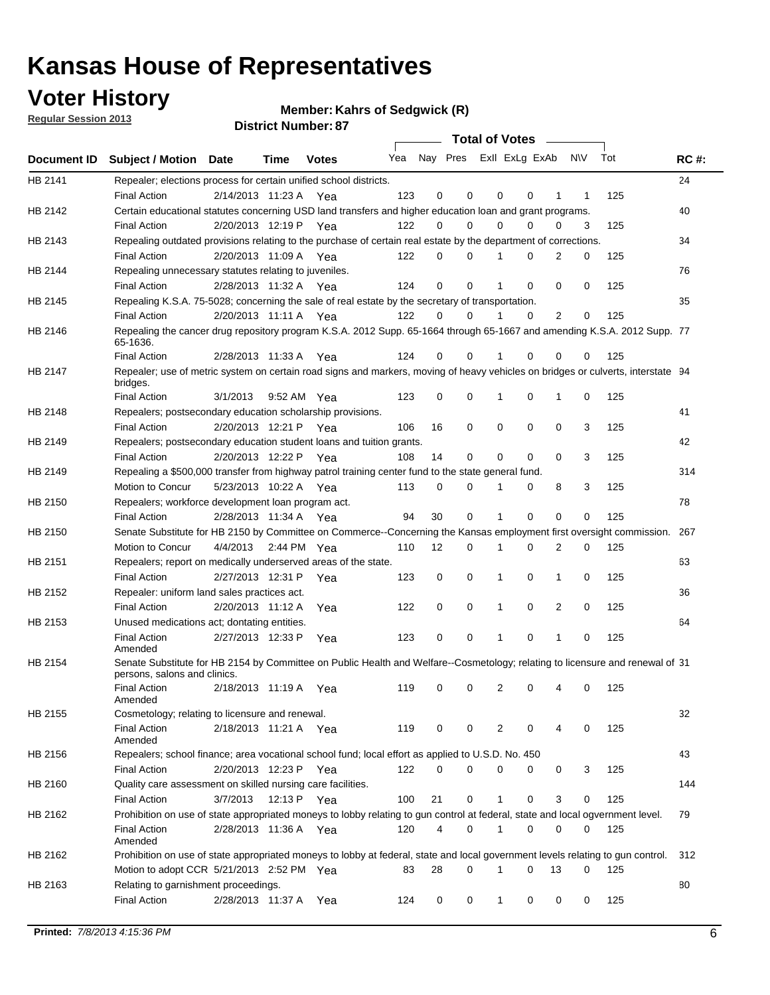## **Voter History**

**Member: Kahrs of Sedgwick (R)** 

**Regular Session 2013**

|                    |                                                                                                                                              |          |                       |              |     |    | <b>Total of Votes</b>   |             |          | $\sim 100$     |     |     |             |
|--------------------|----------------------------------------------------------------------------------------------------------------------------------------------|----------|-----------------------|--------------|-----|----|-------------------------|-------------|----------|----------------|-----|-----|-------------|
| <b>Document ID</b> | <b>Subject / Motion Date</b>                                                                                                                 |          | Time                  | <b>Votes</b> | Yea |    | Nay Pres ExII ExLg ExAb |             |          |                | N\V | Tot | <b>RC#:</b> |
| HB 2141            | Repealer; elections process for certain unified school districts.                                                                            |          |                       |              |     |    |                         |             |          |                |     |     | 24          |
|                    | <b>Final Action</b>                                                                                                                          |          | 2/14/2013 11:23 A     | Yea          | 123 | 0  | 0                       | 0           | 0        | 1              | 1   | 125 |             |
| HB 2142            | Certain educational statutes concerning USD land transfers and higher education loan and grant programs.                                     |          |                       |              |     |    |                         |             |          |                |     |     | 40          |
|                    | <b>Final Action</b>                                                                                                                          |          | 2/20/2013 12:19 P Yea |              | 122 | 0  | 0                       | 0           | $\Omega$ | 0              | 3   | 125 |             |
| HB 2143            | Repealing outdated provisions relating to the purchase of certain real estate by the department of corrections.                              |          |                       |              |     |    |                         |             |          |                |     |     | 34          |
|                    | <b>Final Action</b>                                                                                                                          |          | 2/20/2013 11:09 A Yea |              | 122 | 0  | 0                       | 1           | 0        | $\overline{2}$ | 0   | 125 |             |
| HB 2144            | Repealing unnecessary statutes relating to juveniles.                                                                                        |          |                       |              |     |    |                         |             |          |                |     |     | 76          |
|                    | <b>Final Action</b>                                                                                                                          |          | 2/28/2013 11:32 A Yea |              | 124 | 0  | 0                       | 1           | 0        | 0              | 0   | 125 |             |
| HB 2145            | Repealing K.S.A. 75-5028; concerning the sale of real estate by the secretary of transportation.                                             |          |                       |              |     |    |                         |             |          |                |     |     | 35          |
|                    | <b>Final Action</b>                                                                                                                          |          | 2/20/2013 11:11 A Yea |              | 122 | 0  | 0                       | 1           | 0        | 2              | 0   | 125 |             |
| HB 2146            | Repealing the cancer drug repository program K.S.A. 2012 Supp. 65-1664 through 65-1667 and amending K.S.A. 2012 Supp. 77<br>65-1636.         |          |                       |              |     |    |                         |             |          |                |     |     |             |
|                    | <b>Final Action</b>                                                                                                                          |          | 2/28/2013 11:33 A     | Yea          | 124 | 0  | 0                       | 1           | $\Omega$ | 0              | 0   | 125 |             |
| HB 2147            | Repealer; use of metric system on certain road signs and markers, moving of heavy vehicles on bridges or culverts, interstate 94<br>bridges. |          |                       |              |     |    |                         |             |          |                |     |     |             |
|                    | <b>Final Action</b>                                                                                                                          | 3/1/2013 |                       | 9:52 AM Yea  | 123 | 0  | 0                       |             | 0        | 1              | 0   | 125 |             |
| HB 2148            | Repealers; postsecondary education scholarship provisions.                                                                                   |          |                       |              |     |    |                         |             |          |                |     |     | 41          |
|                    | <b>Final Action</b>                                                                                                                          |          | 2/20/2013 12:21 P     | Yea          | 106 | 16 | $\mathbf 0$             | 0           | 0        | $\mathbf 0$    | 3   | 125 |             |
| HB 2149            | Repealers; postsecondary education student loans and tuition grants.                                                                         |          |                       |              |     |    |                         |             |          |                |     |     | 42          |
|                    | <b>Final Action</b>                                                                                                                          |          | 2/20/2013 12:22 P     | Yea          | 108 | 14 | 0                       | 0           | $\Omega$ | $\Omega$       | 3   | 125 |             |
| HB 2149            | Repealing a \$500,000 transfer from highway patrol training center fund to the state general fund.                                           |          |                       |              |     |    |                         |             |          |                |     |     | 314         |
|                    | Motion to Concur                                                                                                                             |          | 5/23/2013 10:22 A Yea |              | 113 | 0  | 0                       |             | 0        | 8              | 3   | 125 |             |
| HB 2150            | Repealers; workforce development loan program act.                                                                                           |          |                       |              |     |    |                         |             |          |                |     |     | 78          |
|                    | <b>Final Action</b>                                                                                                                          |          | 2/28/2013 11:34 A Yea |              | 94  | 30 | $\mathbf 0$             | 1           | 0        | 0              | 0   | 125 |             |
| HB 2150            | Senate Substitute for HB 2150 by Committee on Commerce--Concerning the Kansas employment first oversight commission.                         |          |                       |              |     |    |                         |             |          |                |     |     | 267         |
|                    | Motion to Concur                                                                                                                             |          | 4/4/2013 2:44 PM Yea  |              | 110 | 12 | 0                       | 1           | 0        | 2              | 0   | 125 |             |
| HB 2151            | Repealers; report on medically underserved areas of the state.                                                                               |          |                       |              |     |    |                         |             |          |                |     |     | 63          |
|                    | <b>Final Action</b>                                                                                                                          |          | 2/27/2013 12:31 P     | Yea          | 123 | 0  | $\mathbf 0$             | 1           | 0        | 1              | 0   | 125 |             |
| HB 2152            | Repealer: uniform land sales practices act.                                                                                                  |          |                       |              |     |    |                         |             |          |                |     |     | 36          |
|                    | <b>Final Action</b>                                                                                                                          |          | 2/20/2013 11:12 A     | Yea          | 122 | 0  | $\mathbf 0$             | 1           | 0        | 2              | 0   | 125 |             |
| HB 2153            | Unused medications act; dontating entities.                                                                                                  |          |                       |              |     |    |                         |             |          |                |     |     | 64          |
|                    | <b>Final Action</b><br>Amended                                                                                                               |          | 2/27/2013 12:33 P     | Yea          | 123 | 0  | 0                       | 1           | 0        | 1              | 0   | 125 |             |
| HB 2154            | Senate Substitute for HB 2154 by Committee on Public Health and Welfare--Cosmetology; relating to licensure and renewal of 31                |          |                       |              |     |    |                         |             |          |                |     |     |             |
|                    | persons, salons and clinics.<br><b>Final Action</b><br>Amended                                                                               |          | 2/18/2013 11:19 A     | Yea          | 119 | 0  | 0                       | 2           | 0        | 4              | 0   | 125 |             |
| HB 2155            | Cosmetology; relating to licensure and renewal.                                                                                              |          |                       |              |     |    |                         |             |          |                |     |     | 32          |
|                    | <b>Final Action</b><br>Amended                                                                                                               |          | 2/18/2013 11:21 A Yea |              | 119 | 0  | 0                       | 2           | 0        |                | 0   | 125 |             |
| HB 2156            | Repealers; school finance; area vocational school fund; local effort as applied to U.S.D. No. 450                                            |          |                       |              |     |    |                         |             |          |                |     |     | 43          |
|                    | <b>Final Action</b>                                                                                                                          |          | 2/20/2013 12:23 P     | Yea          | 122 | 0  | 0                       | 0           | 0        | 0              | 3   | 125 |             |
| HB 2160            | Quality care assessment on skilled nursing care facilities.                                                                                  |          |                       |              |     |    |                         |             |          |                |     |     | 144         |
|                    | <b>Final Action</b>                                                                                                                          | 3/7/2013 | 12:13 P               | Yea          | 100 | 21 | 0                       | 1           | 0        | 3              | 0   | 125 |             |
| HB 2162            | Prohibition on use of state appropriated moneys to lobby relating to gun control at federal, state and local ogvernment level.               |          |                       |              |     |    |                         |             |          |                |     |     | 79          |
|                    | <b>Final Action</b><br>Amended                                                                                                               |          | 2/28/2013 11:36 A Yea |              | 120 | 4  | 0                       | 1           | 0        | 0              | 0   | 125 |             |
| HB 2162            | Prohibition on use of state appropriated moneys to lobby at federal, state and local government levels relating to gun control.              |          |                       |              |     |    |                         |             |          |                |     |     | 312         |
|                    | Motion to adopt CCR 5/21/2013 2:52 PM Yea                                                                                                    |          |                       |              | 83  | 28 | 0                       |             | 0        | 13             | 0   | 125 |             |
| HB 2163            | Relating to garnishment proceedings.                                                                                                         |          |                       |              |     |    |                         |             |          |                |     |     | 80          |
|                    | <b>Final Action</b>                                                                                                                          |          | 2/28/2013 11:37 A Yea |              | 124 | 0  | 0                       | $\mathbf 1$ | 0        | 0              | 0   | 125 |             |
|                    |                                                                                                                                              |          |                       |              |     |    |                         |             |          |                |     |     |             |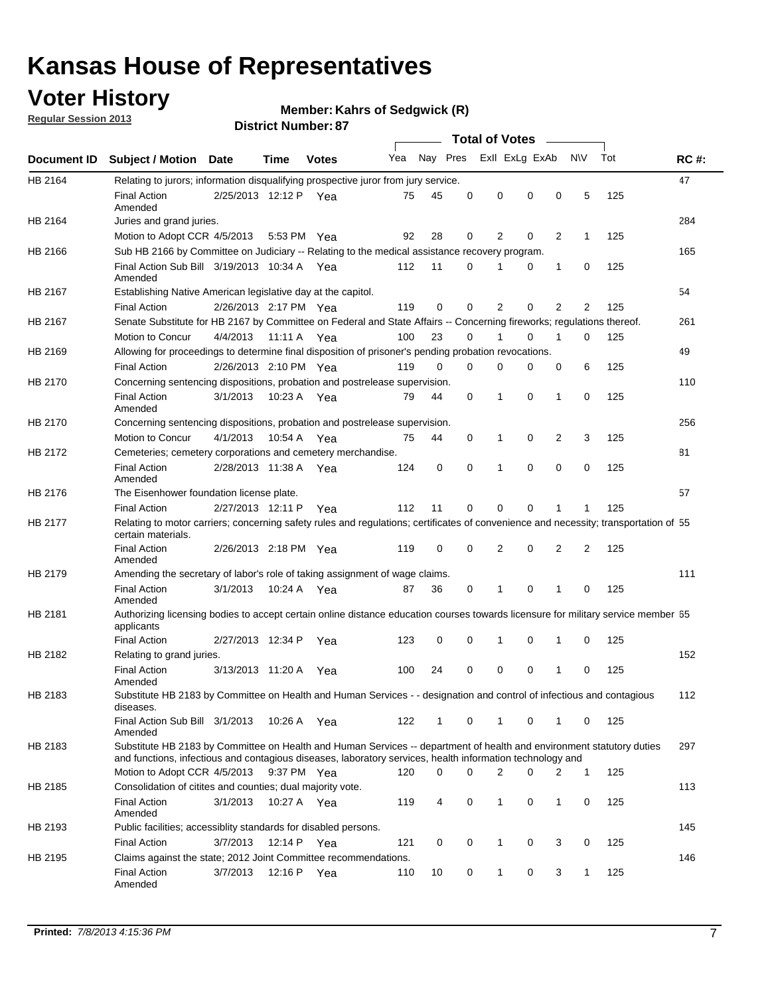## **Voter History**

**Member: Kahrs of Sedgwick (R)** 

**Regular Session 2013**

|             |                                                                                                                                                                                                                                    |                       |             | יט . וסטווואז ו טושט |     |                         |          | <b>Total of Votes</b> |          | $\sim$         |                |     |             |
|-------------|------------------------------------------------------------------------------------------------------------------------------------------------------------------------------------------------------------------------------------|-----------------------|-------------|----------------------|-----|-------------------------|----------|-----------------------|----------|----------------|----------------|-----|-------------|
| Document ID | <b>Subject / Motion Date</b>                                                                                                                                                                                                       |                       | Time        | <b>Votes</b>         | Yea | Nay Pres Exll ExLg ExAb |          |                       |          |                | <b>NV</b>      | Tot | <b>RC#:</b> |
| HB 2164     | Relating to jurors; information disqualifying prospective juror from jury service.                                                                                                                                                 |                       |             |                      |     |                         |          |                       |          |                |                |     | 47          |
|             | <b>Final Action</b><br>Amended                                                                                                                                                                                                     | 2/25/2013 12:12 P Yea |             |                      | 75  | 45                      | 0        | 0                     | 0        | 0              | 5              | 125 |             |
| HB 2164     | Juries and grand juries.                                                                                                                                                                                                           |                       |             |                      |     |                         |          |                       |          |                |                |     | 284         |
|             | Motion to Adopt CCR 4/5/2013                                                                                                                                                                                                       |                       | 5:53 PM Yea |                      | 92  | 28                      | 0        | 2                     | 0        | $\overline{2}$ | 1              | 125 |             |
| HB 2166     | Sub HB 2166 by Committee on Judiciary -- Relating to the medical assistance recovery program.                                                                                                                                      |                       |             |                      |     |                         |          |                       |          |                |                |     | 165         |
|             | Final Action Sub Bill 3/19/2013 10:34 A Yea<br>Amended                                                                                                                                                                             |                       |             |                      | 112 | 11                      | $\Omega$ |                       | 0        | 1              | 0              | 125 |             |
| HB 2167     | Establishing Native American legislative day at the capitol.                                                                                                                                                                       |                       |             |                      |     |                         |          |                       |          |                |                |     | 54          |
|             | <b>Final Action</b>                                                                                                                                                                                                                | 2/26/2013 2:17 PM Yea |             |                      | 119 | 0                       | $\Omega$ | 2                     | 0        | $\overline{2}$ | 2              | 125 |             |
| HB 2167     | Senate Substitute for HB 2167 by Committee on Federal and State Affairs -- Concerning fireworks; regulations thereof.                                                                                                              |                       |             |                      |     |                         |          |                       |          |                |                |     | 261         |
|             | Motion to Concur                                                                                                                                                                                                                   | 4/4/2013              | 11:11 A Yea |                      | 100 | 23                      | 0        | 1                     | 0        | 1              | 0              | 125 |             |
| HB 2169     | Allowing for proceedings to determine final disposition of prisoner's pending probation revocations.                                                                                                                               |                       |             |                      |     |                         |          |                       |          |                |                |     | 49          |
|             | <b>Final Action</b>                                                                                                                                                                                                                | 2/26/2013 2:10 PM Yea |             |                      | 119 | 0                       | 0        | 0                     | 0        | 0              | 6              | 125 |             |
| HB 2170     | Concerning sentencing dispositions, probation and postrelease supervision.                                                                                                                                                         |                       |             |                      |     |                         |          |                       |          |                |                |     | 110         |
|             | <b>Final Action</b><br>Amended                                                                                                                                                                                                     | 3/1/2013              | 10:23 A Yea |                      | 79  | 44                      | 0        | 1                     | 0        | 1              | 0              | 125 |             |
| HB 2170     | Concerning sentencing dispositions, probation and postrelease supervision.                                                                                                                                                         |                       |             |                      |     |                         |          |                       |          |                |                |     | 256         |
|             | Motion to Concur                                                                                                                                                                                                                   | 4/1/2013              | 10:54 A Yea |                      | 75  | 44                      | 0        | 1                     | 0        | $\overline{2}$ | 3              | 125 |             |
| HB 2172     | Cemeteries; cemetery corporations and cemetery merchandise.                                                                                                                                                                        |                       |             |                      |     |                         |          |                       |          |                |                |     | 81          |
|             | <b>Final Action</b><br>Amended                                                                                                                                                                                                     | 2/28/2013 11:38 A Yea |             |                      | 124 | 0                       | 0        | 1                     | 0        | $\Omega$       | 0              | 125 |             |
| HB 2176     | The Eisenhower foundation license plate.                                                                                                                                                                                           |                       |             |                      |     |                         |          |                       |          |                |                |     | 57          |
|             | <b>Final Action</b>                                                                                                                                                                                                                | 2/27/2013 12:11 P     |             | Yea                  | 112 | 11                      | $\Omega$ | 0                     | 0        | 1              | 1              | 125 |             |
| HB 2177     | Relating to motor carriers; concerning safety rules and regulations; certificates of convenience and necessity; transportation of 55<br>certain materials.                                                                         |                       |             |                      |     |                         |          |                       |          |                |                |     |             |
|             | <b>Final Action</b><br>Amended                                                                                                                                                                                                     | 2/26/2013 2:18 PM Yea |             |                      | 119 | 0                       | $\Omega$ | 2                     | 0        | $\overline{2}$ | $\overline{2}$ | 125 |             |
| HB 2179     | Amending the secretary of labor's role of taking assignment of wage claims.                                                                                                                                                        |                       |             |                      |     |                         |          |                       |          |                |                |     | 111         |
|             | <b>Final Action</b><br>Amended                                                                                                                                                                                                     | 3/1/2013              | 10:24 A Yea |                      | 87  | 36                      | 0        | 1                     | $\Omega$ | 1              | 0              | 125 |             |
| HB 2181     | Authorizing licensing bodies to accept certain online distance education courses towards licensure for military service member 55<br>applicants                                                                                    |                       |             |                      |     |                         |          |                       |          |                |                |     |             |
|             | <b>Final Action</b>                                                                                                                                                                                                                | 2/27/2013 12:34 P     |             | Yea                  | 123 | 0                       | 0        |                       | 0        | 1              | 0              | 125 |             |
| HB 2182     | Relating to grand juries.                                                                                                                                                                                                          |                       |             |                      |     |                         |          |                       |          |                |                |     | 152         |
|             | <b>Final Action</b><br>Amended                                                                                                                                                                                                     | 3/13/2013 11:20 A     |             | Yea                  | 100 | 24                      | 0        | 0                     | 0        | 1              | 0              | 125 |             |
| HB 2183     | Substitute HB 2183 by Committee on Health and Human Services - - designation and control of infectious and contagious<br>diseases.                                                                                                 |                       |             |                      |     |                         |          |                       |          |                |                |     | 112         |
|             | Final Action Sub Bill 3/1/2013<br>Amended                                                                                                                                                                                          |                       | 10:26 A Yea |                      | 122 | 1                       | 0        | 1                     | 0        | 1              | 0              | 125 |             |
| HB 2183     | Substitute HB 2183 by Committee on Health and Human Services -- department of health and environment statutory duties<br>and functions, infectious and contagious diseases, laboratory services, health information technology and |                       |             |                      |     |                         |          |                       |          |                |                |     | 297         |
|             | Motion to Adopt CCR 4/5/2013                                                                                                                                                                                                       |                       | 9:37 PM Yea |                      | 120 | 0                       | 0        | 2                     | 0        | 2              | 1              | 125 |             |
| HB 2185     | Consolidation of citites and counties; dual majority vote.                                                                                                                                                                         |                       |             |                      |     |                         |          |                       |          |                |                |     | 113         |
|             | <b>Final Action</b><br>Amended                                                                                                                                                                                                     | 3/1/2013              | 10:27 A Yea |                      | 119 | 4                       | 0        | 1                     | 0        | 1              | 0              | 125 |             |
| HB 2193     | Public facilities; accessiblity standards for disabled persons.                                                                                                                                                                    |                       |             |                      |     |                         |          |                       |          |                |                |     | 145         |
|             | <b>Final Action</b>                                                                                                                                                                                                                | 3/7/2013              | 12:14 P     | Yea                  | 121 | 0                       | 0        | 1                     | 0        | 3              | 0              | 125 |             |
| HB 2195     | Claims against the state; 2012 Joint Committee recommendations.                                                                                                                                                                    |                       |             |                      |     |                         |          |                       |          |                |                |     | 146         |
|             | <b>Final Action</b><br>Amended                                                                                                                                                                                                     | 3/7/2013              | 12:16 P Yea |                      | 110 | 10                      | 0        | 1                     | 0        | 3              | 1              | 125 |             |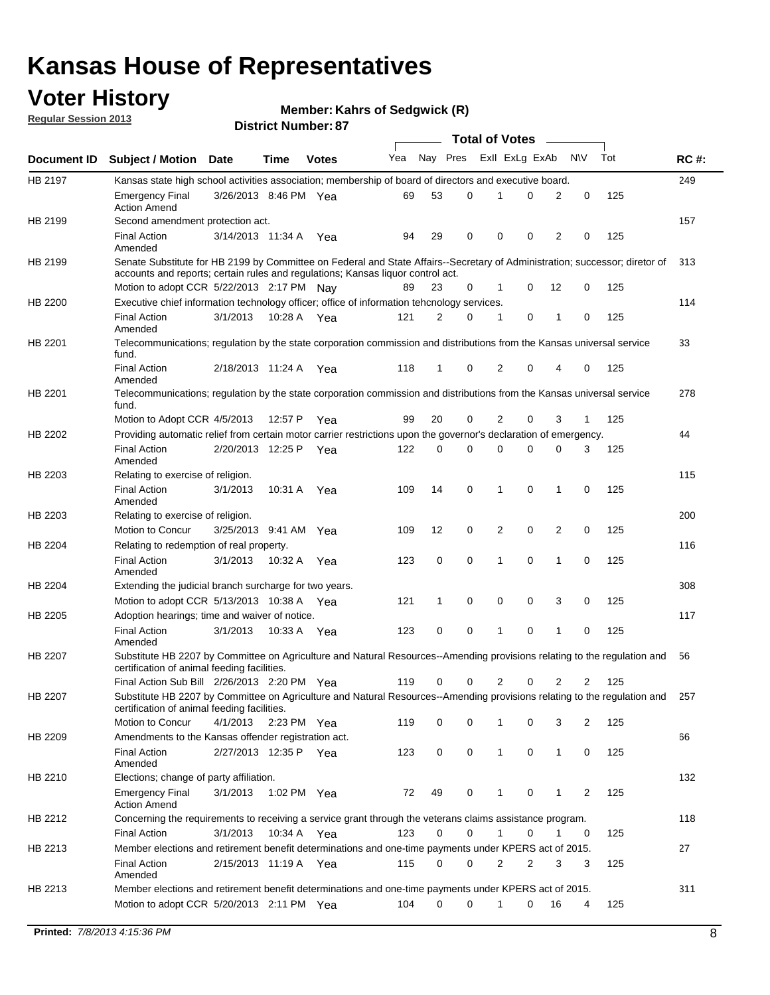## **Voter History**

**Member: Kahrs of Sedgwick (R)** 

**Regular Session 2013**

|                    |                                                                                                                                                                                                                |                       | וט . וסטוווטנו ועווווט |              |     |              | <b>Total of Votes</b> |                |          | $\overline{\phantom{a}}$ |           |     |     |
|--------------------|----------------------------------------------------------------------------------------------------------------------------------------------------------------------------------------------------------------|-----------------------|------------------------|--------------|-----|--------------|-----------------------|----------------|----------|--------------------------|-----------|-----|-----|
| <b>Document ID</b> | <b>Subject / Motion Date</b>                                                                                                                                                                                   |                       | Time                   | <b>Votes</b> | Yea | Nay Pres     |                       | Exll ExLg ExAb |          |                          | <b>NV</b> | Tot | RC# |
| HB 2197            | Kansas state high school activities association; membership of board of directors and executive board.                                                                                                         |                       |                        |              |     |              |                       |                |          |                          |           |     | 249 |
|                    | <b>Emergency Final</b><br><b>Action Amend</b>                                                                                                                                                                  | 3/26/2013 8:46 PM Yea |                        |              | 69  | 53           | 0                     | 1              | 0        | 2                        | 0         | 125 |     |
| HB 2199            | Second amendment protection act.                                                                                                                                                                               |                       |                        |              |     |              |                       |                |          |                          |           |     | 157 |
|                    | <b>Final Action</b><br>Amended                                                                                                                                                                                 | 3/14/2013 11:34 A     |                        | Yea          | 94  | 29           | 0                     | 0              | 0        | 2                        | 0         | 125 |     |
| HB 2199            | Senate Substitute for HB 2199 by Committee on Federal and State Affairs--Secretary of Administration; successor; diretor of<br>accounts and reports; certain rules and regulations; Kansas liquor control act. |                       |                        |              |     |              |                       |                |          |                          |           |     | 313 |
|                    | Motion to adopt CCR 5/22/2013 2:17 PM Nay                                                                                                                                                                      |                       |                        |              |     | 23           | 0                     | 1              | 0        | 12                       | 0         | 125 |     |
| HB 2200            | Executive chief information technology officer; office of information tehcnology services.                                                                                                                     |                       |                        |              |     |              |                       |                |          |                          |           |     | 114 |
|                    | <b>Final Action</b><br>Amended                                                                                                                                                                                 | 3/1/2013              | 10:28 A Yea            |              | 121 | 2            | 0                     | 1              | 0        | 1                        | 0         | 125 |     |
| HB 2201            | Telecommunications; regulation by the state corporation commission and distributions from the Kansas universal service<br>fund.                                                                                |                       |                        |              |     |              |                       |                |          |                          |           |     | 33  |
|                    | <b>Final Action</b><br>Amended                                                                                                                                                                                 | 2/18/2013 11:24 A     |                        | Yea          | 118 | 1            | 0                     | 2              | $\Omega$ | 4                        | 0         | 125 |     |
| HB 2201            | Telecommunications; regulation by the state corporation commission and distributions from the Kansas universal service<br>fund.                                                                                |                       |                        |              |     |              |                       |                |          |                          |           |     | 278 |
|                    | Motion to Adopt CCR 4/5/2013                                                                                                                                                                                   |                       | 12:57 P                | Yea          | 99  | 20           | 0                     | 2              | 0        | 3                        | 1         | 125 |     |
| HB 2202            | Providing automatic relief from certain motor carrier restrictions upon the governor's declaration of emergency.                                                                                               |                       |                        |              |     |              |                       |                |          |                          |           |     | 44  |
|                    | <b>Final Action</b><br>Amended                                                                                                                                                                                 | 2/20/2013 12:25 P     |                        | Yea          | 122 | 0            | 0                     | $\Omega$       | 0        | 0                        | 3         | 125 |     |
| HB 2203            | Relating to exercise of religion.                                                                                                                                                                              |                       |                        |              |     |              |                       |                |          |                          |           |     | 115 |
|                    | <b>Final Action</b><br>Amended                                                                                                                                                                                 | 3/1/2013              | 10:31 A                | Yea          | 109 | 14           | 0                     | 1              | 0        | 1                        | 0         | 125 |     |
| HB 2203            | Relating to exercise of religion.                                                                                                                                                                              |                       |                        |              |     |              |                       |                |          |                          |           |     | 200 |
|                    | Motion to Concur                                                                                                                                                                                               | 3/25/2013 9:41 AM Yea |                        |              | 109 | 12           | 0                     | 2              | 0        | 2                        | 0         | 125 |     |
| HB 2204            | Relating to redemption of real property.                                                                                                                                                                       |                       |                        |              |     |              |                       |                |          |                          |           |     | 116 |
|                    | <b>Final Action</b><br>Amended                                                                                                                                                                                 | 3/1/2013              | 10:32 A                | Yea          | 123 | 0            | 0                     | 1              | 0        | $\mathbf{1}$             | 0         | 125 |     |
| HB 2204            | Extending the judicial branch surcharge for two years.                                                                                                                                                         |                       |                        |              |     |              |                       |                |          |                          |           |     | 308 |
|                    | Motion to adopt CCR $5/13/2013$ 10:38 A Yea                                                                                                                                                                    |                       |                        |              | 121 | $\mathbf{1}$ | 0                     | 0              | 0        | 3                        | 0         | 125 |     |
| HB 2205            | Adoption hearings; time and waiver of notice.                                                                                                                                                                  |                       |                        |              |     |              |                       |                |          |                          |           |     | 117 |
|                    | <b>Final Action</b><br>Amended                                                                                                                                                                                 | 3/1/2013              | 10:33 A Yea            |              | 123 | 0            | 0                     | 1              | 0        | 1                        | 0         | 125 |     |
| HB 2207            | Substitute HB 2207 by Committee on Agriculture and Natural Resources--Amending provisions relating to the regulation and<br>certification of animal feeding facilities.                                        |                       |                        |              |     |              |                       |                |          |                          |           |     | 56  |
|                    | Final Action Sub Bill 2/26/2013 2:20 PM Yea                                                                                                                                                                    |                       |                        |              | 119 | 0            | 0                     | 2              | 0        | 2                        | 2         | 125 |     |
| HB 2207            | Substitute HB 2207 by Committee on Agriculture and Natural Resources--Amending provisions relating to the regulation and<br>certification of animal feeding facilities.                                        |                       |                        |              |     |              |                       |                |          |                          |           |     | 257 |
|                    | Motion to Concur                                                                                                                                                                                               | 4/1/2013 2:23 PM Yea  |                        |              | 119 | 0            | 0                     | 1              | 0        | 3                        | 2         | 125 |     |
| HB 2209            | Amendments to the Kansas offender registration act.                                                                                                                                                            |                       |                        |              |     |              |                       |                |          |                          |           |     | 66  |
|                    | <b>Final Action</b><br>Amended                                                                                                                                                                                 | 2/27/2013 12:35 P Yea |                        |              | 123 | 0            | 0                     | $\mathbf{1}$   | 0        | 1                        | 0         | 125 |     |
| HB 2210            | Elections; change of party affiliation.                                                                                                                                                                        |                       |                        |              |     |              |                       |                |          |                          |           |     | 132 |
|                    | <b>Emergency Final</b><br><b>Action Amend</b>                                                                                                                                                                  | 3/1/2013              | 1:02 PM Yea            |              | 72  | 49           | 0                     | 1              | 0        | 1                        | 2         | 125 |     |
| HB 2212            | Concerning the requirements to receiving a service grant through the veterans claims assistance program.<br><b>Final Action</b>                                                                                | 3/1/2013              | 10:34 A                | Yea          | 123 | 0            | 0                     | 1              | 0        | 1                        | 0         | 125 | 118 |
| HB 2213            | Member elections and retirement benefit determinations and one-time payments under KPERS act of 2015.                                                                                                          |                       |                        |              |     |              |                       |                |          |                          |           |     | 27  |
|                    | <b>Final Action</b>                                                                                                                                                                                            | 2/15/2013 11:19 A Yea |                        |              | 115 | 0            | 0                     | 2              | 2        | 3                        | 3         | 125 |     |
| HB 2213            | Amended<br>Member elections and retirement benefit determinations and one-time payments under KPERS act of 2015.                                                                                               |                       |                        |              |     |              |                       |                |          |                          |           |     | 311 |
|                    | Motion to adopt CCR 5/20/2013 2:11 PM Yea                                                                                                                                                                      |                       |                        |              | 104 | 0            | 0                     | 1              | 0        | 16                       | 4         | 125 |     |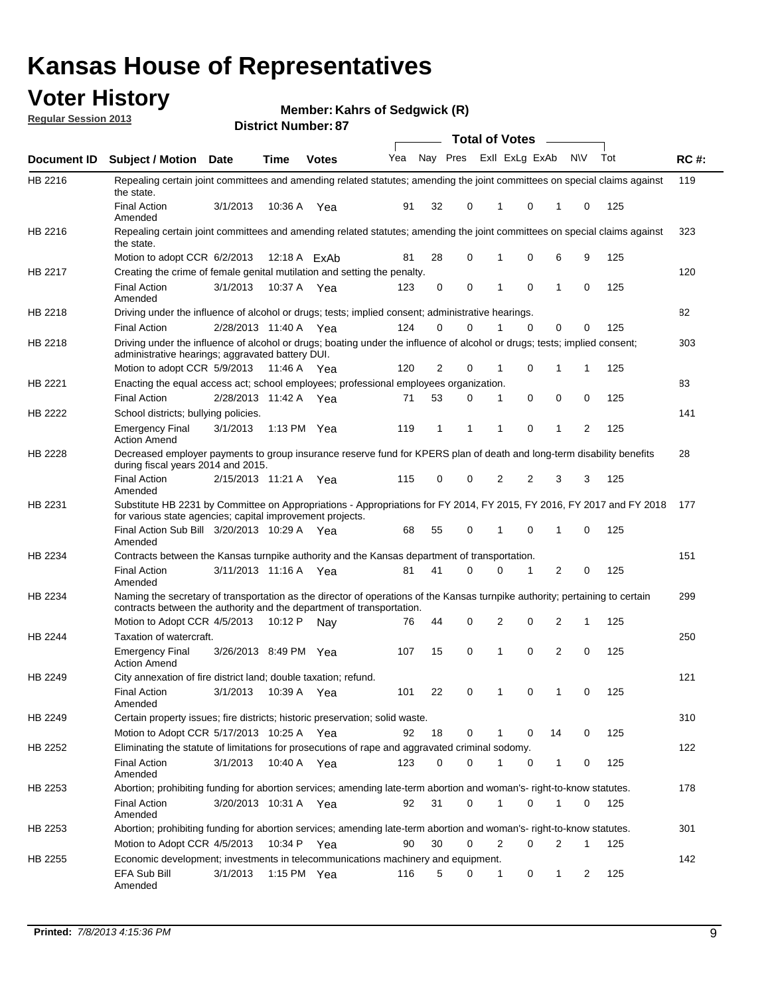## **Voter History**

**Member: Kahrs of Sedgwick (R)** 

**Regular Session 2013**

|             |                                                                                                                                                                                                               |                       |               |              |     |          |          | Total of Votes __ |          |    |           |     |             |
|-------------|---------------------------------------------------------------------------------------------------------------------------------------------------------------------------------------------------------------|-----------------------|---------------|--------------|-----|----------|----------|-------------------|----------|----|-----------|-----|-------------|
| Document ID | Subject / Motion Date                                                                                                                                                                                         |                       | <b>Time</b>   | <b>Votes</b> | Yea | Nay Pres |          | Exll ExLg ExAb    |          |    | <b>NV</b> | Tot | <b>RC#:</b> |
| HB 2216     | Repealing certain joint committees and amending related statutes; amending the joint committees on special claims against<br>the state.                                                                       |                       |               |              |     |          |          |                   |          |    |           |     | 119         |
|             | <b>Final Action</b><br>Amended                                                                                                                                                                                | 3/1/2013              | 10:36 A       | Yea          | 91  | 32       | 0        | 1                 | 0        | 1  | 0         | 125 |             |
| HB 2216     | Repealing certain joint committees and amending related statutes; amending the joint committees on special claims against<br>the state.                                                                       |                       |               |              |     |          |          |                   |          |    |           |     | 323         |
|             | Motion to adopt CCR 6/2/2013                                                                                                                                                                                  |                       |               | 12:18 A ExAb | 81  | 28       | 0        | 1                 | 0        | 6  | 9         | 125 |             |
| HB 2217     | Creating the crime of female genital mutilation and setting the penalty.                                                                                                                                      |                       |               |              |     |          |          |                   |          |    |           |     | 120         |
|             | <b>Final Action</b><br>Amended                                                                                                                                                                                | 3/1/2013              | 10:37 A Yea   |              | 123 | 0        | 0        | 1                 | 0        | 1  | 0         | 125 |             |
| HB 2218     | Driving under the influence of alcohol or drugs; tests; implied consent; administrative hearings.                                                                                                             |                       |               |              |     |          |          |                   |          |    |           |     | 82          |
|             | <b>Final Action</b>                                                                                                                                                                                           | 2/28/2013 11:40 A Yea |               |              | 124 | 0        | $\Omega$ |                   | $\Omega$ | 0  | 0         | 125 |             |
| HB 2218     | Driving under the influence of alcohol or drugs; boating under the influence of alcohol or drugs; tests; implied consent;<br>administrative hearings; aggravated battery DUI.<br>Motion to adopt CCR 5/9/2013 |                       | 11:46 A Yea   |              | 120 | 2        | 0        | 1                 | 0        | 1  | 1         | 125 | 303         |
| HB 2221     | Enacting the equal access act; school employees; professional employees organization.                                                                                                                         |                       |               |              |     |          |          |                   |          |    |           |     | 83          |
|             | <b>Final Action</b>                                                                                                                                                                                           | 2/28/2013 11:42 A Yea |               |              | 71  | 53       | 0        | 1                 | 0        | 0  | 0         | 125 |             |
|             | School districts; bullying policies.                                                                                                                                                                          |                       |               |              |     |          |          |                   |          |    |           |     | 141         |
| HB 2222     | Emergency Final<br><b>Action Amend</b>                                                                                                                                                                        | 3/1/2013              | 1:13 PM $Yea$ |              | 119 | 1        | 1        | 1                 | 0        | 1  | 2         | 125 |             |
| HB 2228     | Decreased employer payments to group insurance reserve fund for KPERS plan of death and long-term disability benefits<br>during fiscal years 2014 and 2015.                                                   |                       |               |              |     |          |          |                   |          |    |           |     | 28          |
|             | <b>Final Action</b><br>Amended                                                                                                                                                                                | 2/15/2013 11:21 A Yea |               |              | 115 | 0        | 0        | 2                 | 2        | 3  | 3         | 125 |             |
| HB 2231     | Substitute HB 2231 by Committee on Appropriations - Appropriations for FY 2014, FY 2015, FY 2016, FY 2017 and FY 2018 177<br>for various state agencies; capital improvement projects.                        |                       |               |              |     |          |          |                   |          |    |           |     |             |
|             | Final Action Sub Bill 3/20/2013 10:29 A Yea<br>Amended                                                                                                                                                        |                       |               |              | 68  | 55       | 0        | 1                 | 0        | 1  | 0         | 125 |             |
| HB 2234     | Contracts between the Kansas turnpike authority and the Kansas department of transportation.                                                                                                                  |                       |               |              |     |          |          |                   |          |    |           |     | 151         |
|             | <b>Final Action</b><br>Amended                                                                                                                                                                                | 3/11/2013 11:16 A     |               | Yea          | 81  | 41       | 0        | 0                 | 1        | 2  | 0         | 125 |             |
| HB 2234     | Naming the secretary of transportation as the director of operations of the Kansas turnpike authority; pertaining to certain<br>contracts between the authority and the department of transportation.         |                       |               |              |     |          |          |                   |          |    |           |     | 299         |
|             | Motion to Adopt CCR 4/5/2013                                                                                                                                                                                  |                       | 10:12 P       | Nav          | 76  | 44       | 0        | 2                 | 0        | 2  | 1         | 125 |             |
| HB 2244     | Taxation of watercraft.<br><b>Emergency Final</b>                                                                                                                                                             | 3/26/2013 8:49 PM Yea |               |              | 107 | 15       | 0        | 1                 | 0        | 2  | 0         | 125 | 250         |
|             | <b>Action Amend</b>                                                                                                                                                                                           |                       |               |              |     |          |          |                   |          |    |           |     |             |
| HB 2249     | City annexation of fire district land; double taxation; refund.<br>Final Action<br>Amended                                                                                                                    | 3/1/2013 10:39 A Yea  |               |              | 101 | 22       | 0        | $\mathbf{1}$      | $\cap$   | 1  | $\Omega$  | 125 | 121         |
| HB 2249     | Certain property issues; fire districts; historic preservation; solid waste.                                                                                                                                  |                       |               |              |     |          |          |                   |          |    |           |     | 310         |
|             | Motion to Adopt CCR 5/17/2013 10:25 A Yea                                                                                                                                                                     |                       |               |              | 92  | 18       | 0        |                   | 0        | 14 | 0         | 125 |             |
|             | Eliminating the statute of limitations for prosecutions of rape and aggravated criminal sodomy.                                                                                                               |                       |               |              |     |          |          |                   |          |    |           |     | 122         |
| HB 2252     |                                                                                                                                                                                                               |                       |               |              |     | $\Omega$ | 0        |                   |          |    |           |     |             |
|             | <b>Final Action</b><br>Amended                                                                                                                                                                                | 3/1/2013              | 10:40 A Yea   |              | 123 |          |          |                   | 0        | 1  | 0         | 125 |             |
| HB 2253     | Abortion; prohibiting funding for abortion services; amending late-term abortion and woman's- right-to-know statutes.                                                                                         |                       |               |              |     |          |          |                   |          |    |           |     | 178         |
|             | <b>Final Action</b><br>Amended                                                                                                                                                                                | 3/20/2013 10:31 A Yea |               |              | 92  | 31       | 0        | 1                 | 0        | 1  | 0         | 125 |             |
| HB 2253     | Abortion; prohibiting funding for abortion services; amending late-term abortion and woman's- right-to-know statutes.                                                                                         |                       |               |              |     |          |          |                   |          |    |           |     | 301         |
|             | Motion to Adopt CCR 4/5/2013                                                                                                                                                                                  |                       | 10:34 P Yea   |              | 90  | 30       | 0        | 2                 | 0        | 2  | 1         | 125 |             |
| HB 2255     | Economic development; investments in telecommunications machinery and equipment.                                                                                                                              |                       |               |              |     |          |          |                   |          |    |           |     | 142         |
|             | EFA Sub Bill<br>Amended                                                                                                                                                                                       | 3/1/2013              | 1:15 PM Yea   |              | 116 | 5        | 0        | -1                | 0        | 1  | 2         | 125 |             |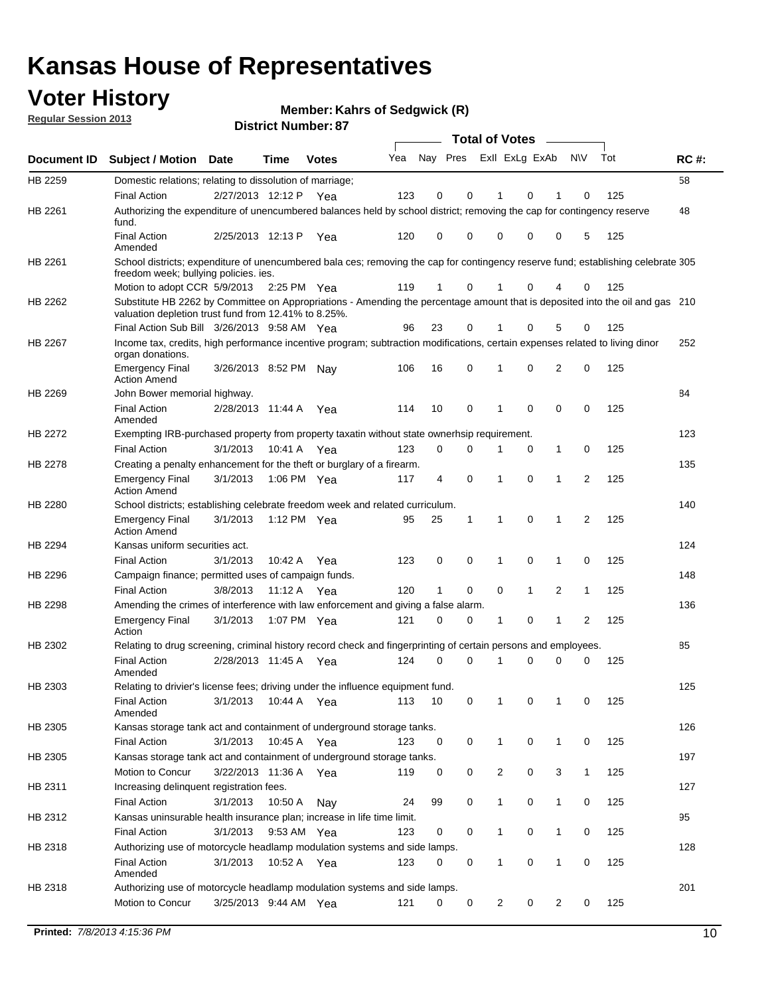## **Voter History**

**Member: Kahrs of Sedgwick (R)** 

**Regular Session 2013**

|             |                                                                                                                                                                                       |                       |             |              |     |                         |             | <b>Total of Votes</b> |              | $\sim$         |                |     |             |
|-------------|---------------------------------------------------------------------------------------------------------------------------------------------------------------------------------------|-----------------------|-------------|--------------|-----|-------------------------|-------------|-----------------------|--------------|----------------|----------------|-----|-------------|
| Document ID | <b>Subject / Motion</b>                                                                                                                                                               | Date                  | <b>Time</b> | <b>Votes</b> | Yea | Nay Pres ExII ExLg ExAb |             |                       |              |                | N\V            | Tot | <b>RC#:</b> |
| HB 2259     | Domestic relations; relating to dissolution of marriage;                                                                                                                              |                       |             |              |     |                         |             |                       |              |                |                |     | 58          |
|             | <b>Final Action</b>                                                                                                                                                                   | 2/27/2013 12:12 P Yea |             |              | 123 | $\mathbf 0$             | 0           | 1                     | $\Omega$     | 1              | 0              | 125 |             |
| HB 2261     | Authorizing the expenditure of unencumbered balances held by school district; removing the cap for contingency reserve<br>fund.                                                       |                       |             |              |     |                         |             |                       |              |                |                |     | 48          |
|             | <b>Final Action</b><br>Amended                                                                                                                                                        | 2/25/2013 12:13 P     |             | Yea          | 120 | 0                       | 0           | 0                     | 0            | 0              | 5              | 125 |             |
| HB 2261     | School districts; expenditure of unencumbered bala ces; removing the cap for contingency reserve fund; establishing celebrate 305<br>freedom week; bullying policies, ies.            |                       |             |              |     |                         |             |                       |              |                |                |     |             |
|             | Motion to adopt CCR 5/9/2013                                                                                                                                                          |                       | 2:25 PM Yea |              | 119 | $\mathbf{1}$            | 0           | 1                     | 0            | 4              | 0              | 125 |             |
| HB 2262     | Substitute HB 2262 by Committee on Appropriations - Amending the percentage amount that is deposited into the oil and gas 210<br>valuation depletion trust fund from 12.41% to 8.25%. |                       |             |              |     |                         |             |                       |              |                |                |     |             |
|             | Final Action Sub Bill 3/26/2013 9:58 AM Yea                                                                                                                                           |                       |             |              | 96  | 23                      | 0           |                       | 0            | 5              | 0              | 125 |             |
| HB 2267     | Income tax, credits, high performance incentive program; subtraction modifications, certain expenses related to living dinor<br>organ donations.                                      |                       |             |              |     |                         |             |                       |              |                |                |     | 252         |
|             | <b>Emergency Final</b><br><b>Action Amend</b>                                                                                                                                         | 3/26/2013 8:52 PM     |             | Nav          | 106 | 16                      | 0           | 1                     | 0            | 2              | 0              | 125 |             |
| HB 2269     | John Bower memorial highway.                                                                                                                                                          |                       |             |              |     |                         |             |                       |              |                |                |     | 84          |
|             | <b>Final Action</b><br>Amended                                                                                                                                                        | 2/28/2013 11:44 A     |             | Yea          | 114 | 10                      | $\mathbf 0$ | $\mathbf 1$           | $\mathbf 0$  | 0              | $\mathbf 0$    | 125 |             |
| HB 2272     | Exempting IRB-purchased property from property taxatin without state ownerhsip requirement.                                                                                           |                       |             |              |     |                         |             |                       |              |                |                |     | 123         |
|             | <b>Final Action</b>                                                                                                                                                                   | 3/1/2013              | 10:41 A     | Yea          | 123 | 0                       | 0           | 1                     | 0            | 1              | 0              | 125 |             |
| HB 2278     | Creating a penalty enhancement for the theft or burglary of a firearm.                                                                                                                |                       |             |              |     |                         |             |                       |              |                |                |     | 135         |
|             | <b>Emergency Final</b><br><b>Action Amend</b>                                                                                                                                         | 3/1/2013              | 1:06 PM Yea |              | 117 | 4                       | 0           | $\mathbf 1$           | 0            | 1              | $\overline{2}$ | 125 |             |
| HB 2280     | School districts; establishing celebrate freedom week and related curriculum.                                                                                                         |                       |             |              |     |                         |             |                       |              |                |                |     | 140         |
|             | <b>Emergency Final</b><br><b>Action Amend</b>                                                                                                                                         | 3/1/2013              | 1:12 PM Yea |              | 95  | 25                      | 1           | $\mathbf{1}$          | 0            | 1              | 2              | 125 |             |
| HB 2294     | Kansas uniform securities act.                                                                                                                                                        |                       |             |              |     |                         |             |                       |              |                |                |     | 124         |
|             | <b>Final Action</b>                                                                                                                                                                   | 3/1/2013              | 10:42 A Yea |              | 123 | 0                       | 0           | 1                     | 0            | 1              | 0              | 125 |             |
| HB 2296     | Campaign finance; permitted uses of campaign funds.                                                                                                                                   |                       |             |              |     |                         |             |                       |              |                |                |     | 148         |
|             | <b>Final Action</b>                                                                                                                                                                   | 3/8/2013              | 11:12 A Yea |              | 120 | $\mathbf{1}$            | 0           | 0                     | $\mathbf{1}$ | $\overline{2}$ | $\mathbf{1}$   | 125 |             |
| HB 2298     | Amending the crimes of interference with law enforcement and giving a false alarm.                                                                                                    |                       |             |              |     |                         |             |                       |              |                |                |     | 136         |
|             | <b>Emergency Final</b><br>Action                                                                                                                                                      | 3/1/2013              | 1:07 PM Yea |              | 121 | 0                       | 0           | 1                     | 0            | 1              | 2              | 125 |             |
| HB 2302     | Relating to drug screening, criminal history record check and fingerprinting of certain persons and employees.                                                                        |                       |             |              |     |                         |             |                       |              |                |                |     | 85          |
|             | <b>Final Action</b><br>Amended                                                                                                                                                        | 2/28/2013 11:45 A     |             | Yea          | 124 | 0                       | 0           | 1                     | 0            | 0              | 0              | 125 |             |
| HB 2303     | Relating to drivier's license fees; driving under the influence equipment fund.                                                                                                       |                       |             |              |     |                         |             |                       |              |                |                |     | 125         |
|             | <b>Final Action</b><br>Amended                                                                                                                                                        | 3/1/2013              | 10:44 A     | Yea          | 113 | 10                      | 0           | 1                     | 0            | 1              | 0              | 125 |             |
| HB 2305     | Kansas storage tank act and containment of underground storage tanks.                                                                                                                 |                       |             |              |     |                         |             |                       |              |                |                |     | 126         |
|             | <b>Final Action</b>                                                                                                                                                                   | 3/1/2013              | 10:45 A     | Yea          | 123 | 0                       | 0           | $\mathbf{1}$          | 0            | 1              | 0              | 125 |             |
| HB 2305     | Kansas storage tank act and containment of underground storage tanks.                                                                                                                 |                       |             |              |     |                         |             |                       |              |                |                |     | 197         |
|             | Motion to Concur                                                                                                                                                                      | 3/22/2013 11:36 A     |             | Yea          | 119 | 0                       | 0           | 2                     | 0            | 3              | $\mathbf{1}$   | 125 |             |
| HB 2311     | Increasing delinquent registration fees.                                                                                                                                              |                       |             |              |     |                         |             |                       |              |                |                |     | 127         |
|             | <b>Final Action</b>                                                                                                                                                                   | 3/1/2013              | 10:50 A     | Nay          | 24  | 99                      | 0           | $\mathbf 1$           | 0            | 1              | 0              | 125 |             |
| HB 2312     | Kansas uninsurable health insurance plan; increase in life time limit.                                                                                                                |                       |             |              |     |                         |             |                       |              |                |                |     | 95          |
|             | <b>Final Action</b>                                                                                                                                                                   | 3/1/2013              | 9:53 AM Yea |              | 123 | 0                       | 0           | $\mathbf 1$           | 0            | 1              | 0              | 125 |             |
| HB 2318     | Authorizing use of motorcycle headlamp modulation systems and side lamps.                                                                                                             |                       |             |              |     |                         |             |                       |              |                |                |     | 128         |
|             | <b>Final Action</b><br>Amended                                                                                                                                                        | 3/1/2013              | 10:52 A Yea |              | 123 | 0                       | 0           | 1                     | 0            | 1              | 0              | 125 |             |
| HB 2318     | Authorizing use of motorcycle headlamp modulation systems and side lamps.                                                                                                             |                       |             |              |     |                         |             |                       |              |                |                |     | 201         |
|             | Motion to Concur                                                                                                                                                                      | 3/25/2013 9:44 AM Yea |             |              | 121 | 0                       | 0           | $\overline{2}$        | 0            | $\overline{2}$ | 0              | 125 |             |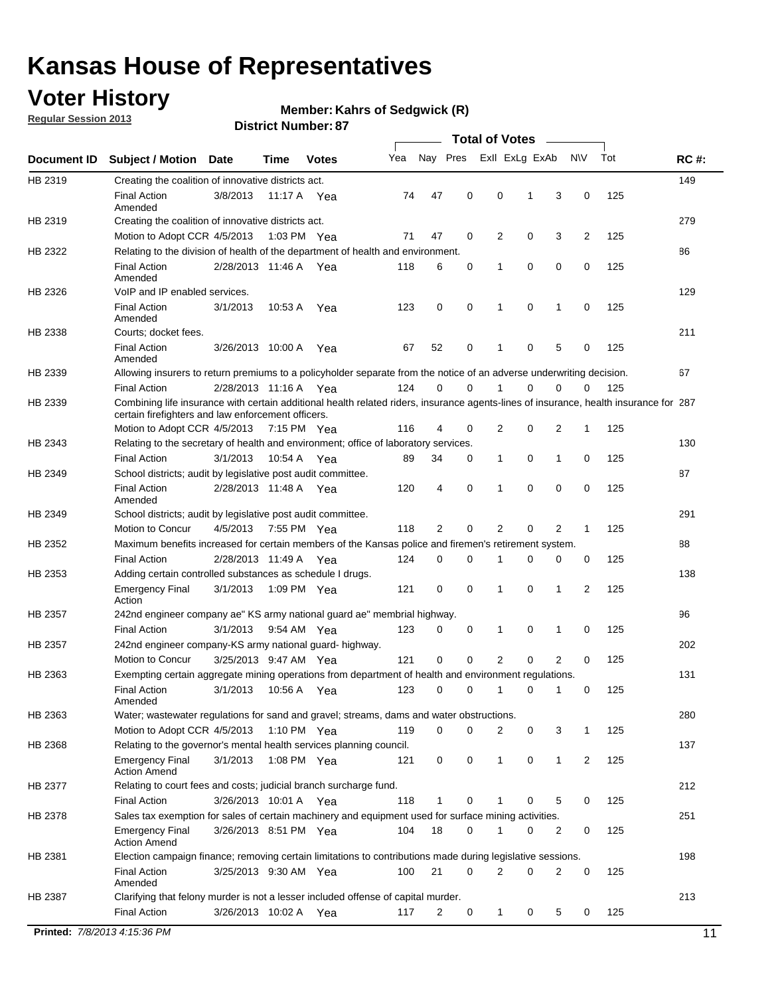## **Voter History**

**Regular Session 2013**

#### **Member: Kahrs of Sedgwick (R)**

|             |                                                                                                                                                                                             |                       |             |              |     |                |             | <b>Total of Votes</b> |   |             |           |     |             |
|-------------|---------------------------------------------------------------------------------------------------------------------------------------------------------------------------------------------|-----------------------|-------------|--------------|-----|----------------|-------------|-----------------------|---|-------------|-----------|-----|-------------|
| Document ID | <b>Subject / Motion</b>                                                                                                                                                                     | Date                  | Time        | <b>Votes</b> | Yea | Nay Pres       |             | Exll ExLg ExAb        |   |             | <b>NV</b> | Tot | <b>RC#:</b> |
| HB 2319     | Creating the coalition of innovative districts act.                                                                                                                                         |                       |             |              |     |                |             |                       |   |             |           |     | 149         |
|             | <b>Final Action</b>                                                                                                                                                                         | 3/8/2013              | 11:17 A     | Yea          | 74  | 47             | 0           | 0                     | 1 | 3           | 0         | 125 |             |
|             | Amended                                                                                                                                                                                     |                       |             |              |     |                |             |                       |   |             |           |     |             |
| HB 2319     | Creating the coalition of innovative districts act.                                                                                                                                         |                       |             |              |     |                |             |                       |   |             |           |     | 279         |
|             | Motion to Adopt CCR 4/5/2013                                                                                                                                                                |                       | 1:03 PM Yea |              | 71  | 47             | 0           | 2                     | 0 | 3           | 2         | 125 |             |
| HB 2322     | Relating to the division of health of the department of health and environment.                                                                                                             |                       |             |              |     |                |             |                       |   |             |           |     | 86          |
|             | <b>Final Action</b><br>Amended                                                                                                                                                              | 2/28/2013 11:46 A Yea |             |              | 118 | 6              | 0           | 1                     | 0 | 0           | 0         | 125 |             |
| HB 2326     | VoIP and IP enabled services.                                                                                                                                                               |                       |             |              |     |                |             |                       |   |             |           |     | 129         |
|             | <b>Final Action</b>                                                                                                                                                                         | 3/1/2013              | 10:53 A     | Yea          | 123 | $\mathbf 0$    | $\mathbf 0$ | 1                     | 0 | 1           | 0         | 125 |             |
|             | Amended                                                                                                                                                                                     |                       |             |              |     |                |             |                       |   |             |           |     |             |
| HB 2338     | Courts; docket fees.                                                                                                                                                                        |                       |             |              |     |                |             |                       |   |             |           |     | 211         |
|             | <b>Final Action</b>                                                                                                                                                                         | 3/26/2013 10:00 A     |             | Yea          | 67  | 52             | 0           | 1                     | 0 | 5           | 0         | 125 |             |
|             | Amended                                                                                                                                                                                     |                       |             |              |     |                |             |                       |   |             |           |     |             |
| HB 2339     | Allowing insurers to return premiums to a policyholder separate from the notice of an adverse underwriting decision.                                                                        |                       |             |              | 124 |                | $\mathbf 0$ |                       | 0 | 0           |           | 125 | 67          |
|             | <b>Final Action</b>                                                                                                                                                                         | 2/28/2013 11:16 A Yea |             |              |     | 0              |             |                       |   |             | 0         |     |             |
| HB 2339     | Combining life insurance with certain additional health related riders, insurance agents-lines of insurance, health insurance for 287<br>certain firefighters and law enforcement officers. |                       |             |              |     |                |             |                       |   |             |           |     |             |
|             | Motion to Adopt CCR 4/5/2013 7:15 PM Yea                                                                                                                                                    |                       |             |              | 116 | $\overline{4}$ | 0           | 2                     | 0 | 2           | -1        | 125 |             |
| HB 2343     | Relating to the secretary of health and environment; office of laboratory services.                                                                                                         |                       |             |              |     |                |             |                       |   |             |           |     | 130         |
|             | <b>Final Action</b>                                                                                                                                                                         | 3/1/2013              | 10:54 A Yea |              | 89  | 34             | 0           | 1                     | 0 | 1           | 0         | 125 |             |
| HB 2349     | School districts; audit by legislative post audit committee.                                                                                                                                |                       |             |              |     |                |             |                       |   |             |           |     | 87          |
|             | <b>Final Action</b><br>Amended                                                                                                                                                              | 2/28/2013 11:48 A Yea |             |              | 120 | 4              | $\mathbf 0$ | 1                     | 0 | 0           | 0         | 125 |             |
| HB 2349     | School districts; audit by legislative post audit committee.                                                                                                                                |                       |             |              |     |                |             |                       |   |             |           |     | 291         |
|             | Motion to Concur                                                                                                                                                                            | 4/5/2013              | 7:55 PM Yea |              | 118 | $\overline{2}$ | $\mathbf 0$ | $\overline{2}$        | 0 | 2           | 1         | 125 |             |
| HB 2352     | Maximum benefits increased for certain members of the Kansas police and firemen's retirement system.                                                                                        |                       |             |              |     |                |             |                       |   |             |           |     | 88          |
|             | <b>Final Action</b>                                                                                                                                                                         | 2/28/2013 11:49 A     |             | Yea          | 124 | 0              | 0           | 1                     | 0 | 0           | 0         | 125 |             |
| HB 2353     | Adding certain controlled substances as schedule I drugs.                                                                                                                                   |                       |             |              |     |                |             |                       |   |             |           |     | 138         |
|             | <b>Emergency Final</b><br>Action                                                                                                                                                            | 3/1/2013              |             | 1:09 PM Yea  | 121 | 0              | 0           | 1                     | 0 | 1           | 2         | 125 |             |
| HB 2357     | 242nd engineer company ae" KS army national guard ae" membrial highway.                                                                                                                     |                       |             |              |     |                |             |                       |   |             |           |     | 96          |
|             | <b>Final Action</b>                                                                                                                                                                         | 3/1/2013              | 9:54 AM Yea |              | 123 | 0              | 0           | 1                     | 0 | 1           | 0         | 125 |             |
| HB 2357     | 242nd engineer company-KS army national guard- highway.                                                                                                                                     |                       |             |              |     |                |             |                       |   |             |           |     | 202         |
|             | Motion to Concur                                                                                                                                                                            | 3/25/2013 9:47 AM Yea |             |              | 121 | $\mathbf 0$    | $\mathbf 0$ | $\overline{2}$        | 0 | 2           | 0         | 125 |             |
| HB 2363     | Exempting certain aggregate mining operations from department of health and environment regulations.                                                                                        |                       |             |              |     |                |             |                       |   |             |           |     | 131         |
|             | <b>Final Action</b><br>Amended                                                                                                                                                              | 3/1/2013              | 10:56 A Yea |              | 123 | 0              | 0           | 1                     | 0 | 1           | 0         | 125 |             |
| HB 2363     | Water; wastewater regulations for sand and gravel; streams, dams and water obstructions.                                                                                                    |                       |             |              |     |                |             |                       |   |             |           |     | 280         |
|             | Motion to Adopt CCR 4/5/2013                                                                                                                                                                |                       |             | 1:10 PM Yea  | 119 | 0              | 0           | 2                     | 0 | 3           | 1         | 125 |             |
| HB 2368     | Relating to the governor's mental health services planning council.                                                                                                                         |                       |             |              |     |                |             |                       |   |             |           |     | 137         |
|             | <b>Emergency Final</b><br><b>Action Amend</b>                                                                                                                                               | 3/1/2013              | 1:08 PM Yea |              | 121 | 0              | 0           | 1                     | 0 | $\mathbf 1$ | 2         | 125 |             |
| HB 2377     | Relating to court fees and costs; judicial branch surcharge fund.                                                                                                                           |                       |             |              |     |                |             |                       |   |             |           |     | 212         |
|             | <b>Final Action</b>                                                                                                                                                                         | 3/26/2013 10:01 A Yea |             |              | 118 | 1              | 0           |                       | 0 | 5           | 0         | 125 |             |
| HB 2378     | Sales tax exemption for sales of certain machinery and equipment used for surface mining activities.                                                                                        |                       |             |              |     |                |             |                       |   |             |           |     | 251         |
|             | <b>Emergency Final</b><br><b>Action Amend</b>                                                                                                                                               | 3/26/2013 8:51 PM Yea |             |              | 104 | 18             | 0           | 1                     | 0 | 2           | 0         | 125 |             |
| HB 2381     | Election campaign finance; removing certain limitations to contributions made during legislative sessions.                                                                                  |                       |             |              |     |                |             |                       |   |             |           |     | 198         |
|             | <b>Final Action</b>                                                                                                                                                                         | 3/25/2013 9:30 AM Yea |             |              | 100 | 21             | 0           | 2                     | 0 | 2           | 0         | 125 |             |
|             | Amended                                                                                                                                                                                     |                       |             |              |     |                |             |                       |   |             |           |     |             |
| HB 2387     | Clarifying that felony murder is not a lesser included offense of capital murder.                                                                                                           |                       |             |              |     |                |             |                       |   |             |           |     | 213         |
|             | <b>Final Action</b>                                                                                                                                                                         | 3/26/2013 10:02 A     |             | Yea          | 117 | 2              | 0           | 1                     | 0 | 5           | 0         | 125 |             |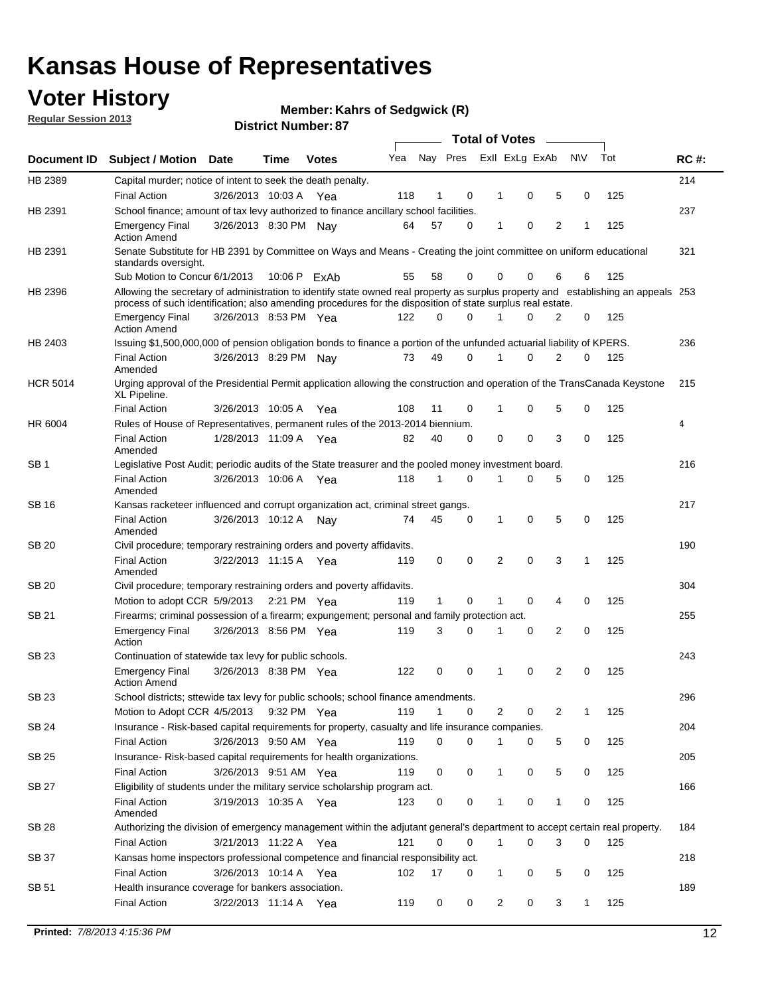## **Voter History**

**Member: Kahrs of Sedgwick (R)** 

**Regular Session 2013**

|                 |                                                                                                                                                                                                                                                  |                       |      |              |     |              |          | <b>Total of Votes</b> |   |   |              |     |             |
|-----------------|--------------------------------------------------------------------------------------------------------------------------------------------------------------------------------------------------------------------------------------------------|-----------------------|------|--------------|-----|--------------|----------|-----------------------|---|---|--------------|-----|-------------|
| Document ID     | Subject / Motion Date                                                                                                                                                                                                                            |                       | Time | <b>Votes</b> | Yea | Nay Pres     |          | Exll ExLg ExAb        |   |   | <b>NV</b>    | Tot | <b>RC#:</b> |
| HB 2389         | Capital murder; notice of intent to seek the death penalty.                                                                                                                                                                                      |                       |      |              |     |              |          |                       |   |   |              |     | 214         |
|                 | <b>Final Action</b>                                                                                                                                                                                                                              | 3/26/2013 10:03 A     |      | Yea          | 118 | 1            | 0        | 1                     | 0 | 5 | 0            | 125 |             |
| HB 2391         | School finance; amount of tax levy authorized to finance ancillary school facilities.                                                                                                                                                            |                       |      |              |     |              |          |                       |   |   |              |     | 237         |
|                 | <b>Emergency Final</b><br><b>Action Amend</b>                                                                                                                                                                                                    | 3/26/2013 8:30 PM Nav |      |              | 64  | 57           | 0        | 1                     | 0 | 2 | 1            | 125 |             |
| HB 2391         | Senate Substitute for HB 2391 by Committee on Ways and Means - Creating the joint committee on uniform educational<br>standards oversight.                                                                                                       |                       |      |              |     |              |          |                       |   |   |              |     | 321         |
|                 | Sub Motion to Concur 6/1/2013                                                                                                                                                                                                                    |                       |      | 10:06 P ExAb | 55  | 58           | 0        | 0                     | 0 | 6 | 6            | 125 |             |
| HB 2396         | Allowing the secretary of administration to identify state owned real property as surplus property and establishing an appeals 253<br>process of such identification; also amending procedures for the disposition of state surplus real estate. |                       |      |              |     |              |          |                       |   |   |              |     |             |
|                 | <b>Emergency Final</b><br>Action Amend                                                                                                                                                                                                           | 3/26/2013 8:53 PM Yea |      |              | 122 | 0            | 0        |                       | 0 | 2 | 0            | 125 |             |
| HB 2403         | Issuing \$1,500,000,000 of pension obligation bonds to finance a portion of the unfunded actuarial liability of KPERS.                                                                                                                           |                       |      |              |     |              |          |                       |   |   |              |     | 236         |
|                 | <b>Final Action</b><br>Amended                                                                                                                                                                                                                   | 3/26/2013 8:29 PM Nay |      |              | 73  | 49           | 0        | 1                     | 0 | 2 | 0            | 125 |             |
| <b>HCR 5014</b> | Urging approval of the Presidential Permit application allowing the construction and operation of the TransCanada Keystone<br>XL Pipeline.                                                                                                       |                       |      |              |     |              |          |                       |   |   |              |     | 215         |
|                 | <b>Final Action</b>                                                                                                                                                                                                                              | 3/26/2013 10:05 A     |      | Yea          | 108 | 11           | 0        |                       | 0 | 5 | 0            | 125 |             |
| HR 6004         | Rules of House of Representatives, permanent rules of the 2013-2014 biennium.                                                                                                                                                                    |                       |      |              |     |              |          |                       |   |   |              |     | 4           |
|                 | <b>Final Action</b><br>Amended                                                                                                                                                                                                                   | 1/28/2013 11:09 A     |      | Yea          | 82  | 40           | 0        | 0                     | 0 | 3 | 0            | 125 |             |
| SB 1            | Legislative Post Audit; periodic audits of the State treasurer and the pooled money investment board.                                                                                                                                            |                       |      |              |     |              |          |                       |   |   |              |     | 216         |
|                 | <b>Final Action</b><br>Amended                                                                                                                                                                                                                   | 3/26/2013 10:06 A     |      | Yea          | 118 | 1            | 0        | 1                     | 0 | 5 | 0            | 125 |             |
| SB 16           | Kansas racketeer influenced and corrupt organization act, criminal street gangs.                                                                                                                                                                 |                       |      |              |     |              |          |                       |   |   |              |     | 217         |
|                 | <b>Final Action</b><br>Amended                                                                                                                                                                                                                   | 3/26/2013 10:12 A Nay |      |              | 74  | 45           | 0        | 1                     | 0 | 5 | 0            | 125 |             |
| SB 20           | Civil procedure; temporary restraining orders and poverty affidavits.                                                                                                                                                                            |                       |      |              |     |              |          |                       |   |   |              |     | 190         |
|                 | <b>Final Action</b><br>Amended                                                                                                                                                                                                                   | 3/22/2013 11:15 A     |      | Yea          | 119 | 0            | 0        | 2                     | 0 | 3 | $\mathbf{1}$ | 125 |             |
| SB 20           | Civil procedure; temporary restraining orders and poverty affidavits.                                                                                                                                                                            |                       |      |              |     |              |          |                       |   |   |              |     | 304         |
|                 | Motion to adopt CCR 5/9/2013                                                                                                                                                                                                                     |                       |      | 2:21 PM Yea  | 119 | $\mathbf{1}$ | 0        | 1                     | 0 | 4 | 0            | 125 |             |
| SB 21           | Firearms; criminal possession of a firearm; expungement; personal and family protection act.                                                                                                                                                     |                       |      |              |     |              |          |                       |   |   |              |     | 255         |
|                 | <b>Emergency Final</b><br>Action                                                                                                                                                                                                                 | 3/26/2013 8:56 PM Yea |      |              | 119 | 3            | 0        |                       | 0 | 2 | 0            | 125 |             |
| SB 23           | Continuation of statewide tax levy for public schools.                                                                                                                                                                                           |                       |      |              |     |              |          |                       |   |   |              |     | 243         |
|                 | <b>Emergency Final</b><br><b>Action Amend</b>                                                                                                                                                                                                    | 3/26/2013 8:38 PM Yea |      |              | 122 | 0            | 0        | 1                     | 0 | 2 | 0            | 125 |             |
| <b>SB 23</b>    | School districts; sttewide tax levy for public schools; school finance amendments                                                                                                                                                                |                       |      |              |     |              |          |                       |   |   |              |     | 296         |
|                 | Motion to Adopt CCR 4/5/2013 9:32 PM Yea                                                                                                                                                                                                         |                       |      |              | 119 | 1            | 0        | 2                     | 0 | 2 | 1            | 125 |             |
| <b>SB 24</b>    | Insurance - Risk-based capital requirements for property, casualty and life insurance companies.                                                                                                                                                 |                       |      |              |     |              |          |                       |   |   |              |     | 204         |
|                 | <b>Final Action</b>                                                                                                                                                                                                                              | 3/26/2013 9:50 AM Yea |      |              | 119 | 0            | 0        |                       | 0 | 5 | 0            | 125 |             |
| SB 25           | Insurance-Risk-based capital requirements for health organizations.                                                                                                                                                                              |                       |      |              |     |              |          |                       |   |   |              |     | 205         |
|                 | <b>Final Action</b>                                                                                                                                                                                                                              | 3/26/2013 9:51 AM Yea |      |              | 119 | 0            | 0        | 1                     | 0 | 5 | 0            | 125 |             |
| SB 27           | Eligibility of students under the military service scholarship program act.                                                                                                                                                                      |                       |      |              |     |              |          |                       |   |   |              |     | 166         |
|                 | <b>Final Action</b><br>Amended                                                                                                                                                                                                                   | 3/19/2013 10:35 A Yea |      |              | 123 | 0            | 0        |                       | 0 | 1 | 0            | 125 |             |
| SB 28           | Authorizing the division of emergency management within the adjutant general's department to accept certain real property.                                                                                                                       |                       |      |              |     |              |          |                       |   |   |              |     | 184         |
|                 | <b>Final Action</b>                                                                                                                                                                                                                              | 3/21/2013 11:22 A Yea |      |              | 121 | 0            | $\Omega$ | 1                     | 0 | 3 | $\Omega$     | 125 |             |
| SB 37           | Kansas home inspectors professional competence and financial responsibility act.                                                                                                                                                                 |                       |      |              |     |              |          |                       |   |   |              |     | 218         |
|                 | <b>Final Action</b>                                                                                                                                                                                                                              | 3/26/2013 10:14 A Yea |      |              | 102 | 17           | 0        | 1                     | 0 | 5 | 0            | 125 |             |
| SB 51           | Health insurance coverage for bankers association.                                                                                                                                                                                               |                       |      |              |     |              |          |                       |   |   |              |     | 189         |
|                 | <b>Final Action</b>                                                                                                                                                                                                                              | 3/22/2013 11:14 A Yea |      |              | 119 | 0            | 0        | 2                     | 0 | 3 | $\mathbf{1}$ | 125 |             |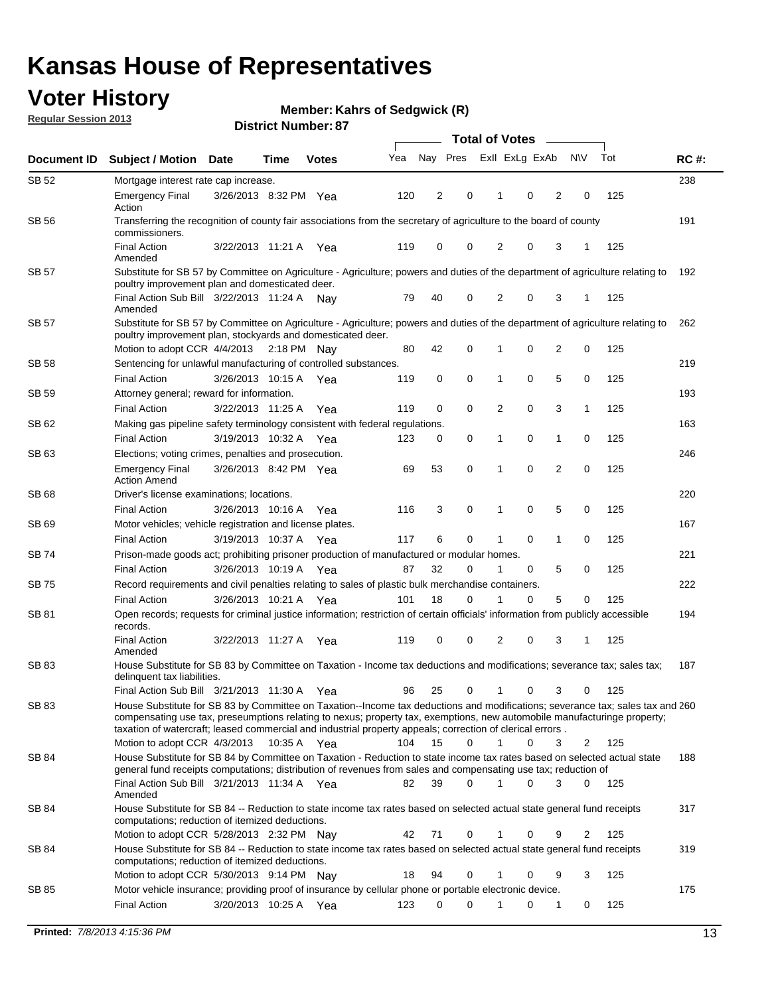## **Voter History**

**Member: Kahrs of Sedgwick (R)** 

**Regular Session 2013**

|              |                                                                                                                                                                                                                                                                                                                                                                         |                       |      |              |     | <b>Total of Votes</b> |          |                |             |                |                |     |             |  |
|--------------|-------------------------------------------------------------------------------------------------------------------------------------------------------------------------------------------------------------------------------------------------------------------------------------------------------------------------------------------------------------------------|-----------------------|------|--------------|-----|-----------------------|----------|----------------|-------------|----------------|----------------|-----|-------------|--|
| Document ID  | <b>Subject / Motion</b>                                                                                                                                                                                                                                                                                                                                                 | <b>Date</b>           | Time | <b>Votes</b> | Yea | Nay Pres              |          | Exll ExLg ExAb |             |                | <b>NV</b>      | Tot | <b>RC#:</b> |  |
| SB 52        | Mortgage interest rate cap increase.                                                                                                                                                                                                                                                                                                                                    |                       |      |              |     |                       |          |                |             |                |                |     | 238         |  |
|              | <b>Emergency Final</b><br>Action                                                                                                                                                                                                                                                                                                                                        | 3/26/2013 8:32 PM Yea |      |              | 120 | 2                     | 0        |                | 0           | 2              | 0              | 125 |             |  |
| <b>SB 56</b> | Transferring the recognition of county fair associations from the secretary of agriculture to the board of county<br>commissioners.                                                                                                                                                                                                                                     |                       |      |              |     |                       |          |                |             |                |                |     | 191         |  |
|              | <b>Final Action</b><br>Amended                                                                                                                                                                                                                                                                                                                                          | 3/22/2013 11:21 A     |      | Yea          | 119 | 0                     | 0        | 2              | 0           | 3              | 1              | 125 |             |  |
| SB 57        | Substitute for SB 57 by Committee on Agriculture - Agriculture; powers and duties of the department of agriculture relating to<br>poultry improvement plan and domesticated deer.                                                                                                                                                                                       |                       |      |              |     |                       |          |                |             |                |                |     | 192         |  |
|              | Final Action Sub Bill 3/22/2013 11:24 A Nav<br>Amended                                                                                                                                                                                                                                                                                                                  |                       |      |              | 79  | 40                    | 0        | 2              | 0           | 3              | -1             | 125 |             |  |
| SB 57        | Substitute for SB 57 by Committee on Agriculture - Agriculture; powers and duties of the department of agriculture relating to<br>poultry improvement plan, stockyards and domesticated deer.                                                                                                                                                                           |                       |      |              |     |                       |          |                |             |                |                |     | 262         |  |
|              | Motion to adopt CCR 4/4/2013 2:18 PM Nay                                                                                                                                                                                                                                                                                                                                |                       |      |              | 80  | 42                    | 0        | 1              | 0           | $\overline{2}$ | 0              | 125 |             |  |
| SB 58        | Sentencing for unlawful manufacturing of controlled substances.                                                                                                                                                                                                                                                                                                         |                       |      |              |     |                       |          |                |             |                |                |     | 219         |  |
|              | <b>Final Action</b>                                                                                                                                                                                                                                                                                                                                                     | 3/26/2013 10:15 A     |      | Yea          | 119 | 0                     | 0        | 1              | 0           | 5              | 0              | 125 |             |  |
| SB 59        | Attorney general; reward for information.                                                                                                                                                                                                                                                                                                                               |                       |      |              |     |                       |          |                |             |                |                |     | 193         |  |
|              | <b>Final Action</b>                                                                                                                                                                                                                                                                                                                                                     | 3/22/2013 11:25 A     |      | Yea          | 119 | 0                     | 0        | 2              | 0           | 3              | 1              | 125 |             |  |
| SB 62        | Making gas pipeline safety terminology consistent with federal regulations.                                                                                                                                                                                                                                                                                             |                       |      |              |     |                       |          |                |             |                |                |     | 163         |  |
|              | <b>Final Action</b>                                                                                                                                                                                                                                                                                                                                                     | 3/19/2013 10:32 A Yea |      |              | 123 | 0                     | 0        | 1              | 0           | 1              | 0              | 125 |             |  |
| SB 63        | Elections; voting crimes, penalties and prosecution.<br><b>Emergency Final</b><br><b>Action Amend</b>                                                                                                                                                                                                                                                                   | 3/26/2013 8:42 PM Yea |      |              | 69  | 53                    | 0        | 1              | $\mathbf 0$ | $\overline{2}$ | $\mathbf 0$    | 125 | 246         |  |
| <b>SB68</b>  | Driver's license examinations; locations.                                                                                                                                                                                                                                                                                                                               |                       |      |              |     |                       |          |                |             |                |                |     | 220         |  |
|              | <b>Final Action</b>                                                                                                                                                                                                                                                                                                                                                     | 3/26/2013 10:16 A     |      | Yea          | 116 | 3                     | 0        | 1              | 0           | 5              | 0              | 125 |             |  |
| SB 69        | Motor vehicles; vehicle registration and license plates.                                                                                                                                                                                                                                                                                                                |                       |      |              |     |                       |          |                |             |                |                |     | 167         |  |
|              | <b>Final Action</b>                                                                                                                                                                                                                                                                                                                                                     | 3/19/2013 10:37 A     |      | Yea          | 117 | 6                     | 0        | 1              | 0           | $\mathbf{1}$   | 0              | 125 |             |  |
| SB 74        | Prison-made goods act; prohibiting prisoner production of manufactured or modular homes.                                                                                                                                                                                                                                                                                |                       |      |              |     |                       |          |                |             |                |                |     | 221         |  |
|              | <b>Final Action</b>                                                                                                                                                                                                                                                                                                                                                     | 3/26/2013 10:19 A     |      | Yea          | 87  | 32                    | 0        | 1              | 0           | 5              | 0              | 125 |             |  |
| SB 75        | Record requirements and civil penalties relating to sales of plastic bulk merchandise containers.                                                                                                                                                                                                                                                                       |                       |      |              |     |                       |          |                |             |                |                |     | 222         |  |
|              | <b>Final Action</b>                                                                                                                                                                                                                                                                                                                                                     | 3/26/2013 10:21 A     |      | Yea          | 101 | 18                    | 0        | 1              | 0           | 5              | 0              | 125 |             |  |
| SB 81        | Open records; requests for criminal justice information; restriction of certain officials' information from publicly accessible<br>records.                                                                                                                                                                                                                             |                       |      |              |     |                       |          |                |             |                |                |     | 194         |  |
|              | <b>Final Action</b><br>Amended                                                                                                                                                                                                                                                                                                                                          | 3/22/2013 11:27 A     |      | Yea          | 119 | 0                     | 0        | 2              | 0           | 3              | 1              | 125 |             |  |
| <b>SB83</b>  | House Substitute for SB 83 by Committee on Taxation - Income tax deductions and modifications; severance tax; sales tax;<br>delinquent tax liabilities.                                                                                                                                                                                                                 |                       |      |              |     |                       |          |                |             |                |                |     | 187         |  |
|              | Final Action Sub Bill 3/21/2013 11:30 A Yea                                                                                                                                                                                                                                                                                                                             |                       |      |              | 96  | 25                    | 0        | $\mathbf{1}$   | 0           | 3              | 0              | 125 |             |  |
| SB 83        | House Substitute for SB 83 by Committee on Taxation--Income tax deductions and modifications; severance tax; sales tax and 260<br>compensating use tax, preseumptions relating to nexus; property tax, exemptions, new automobile manufacturinge property;<br>taxation of watercraft; leased commercial and industrial property appeals; correction of clerical errors. |                       |      |              |     |                       |          |                |             |                |                |     |             |  |
|              | Motion to adopt CCR 4/3/2013 10:35 A Yea                                                                                                                                                                                                                                                                                                                                |                       |      |              | 104 | 15                    | 0        | $\mathbf{1}$   | 0           | 3              | 2              | 125 |             |  |
| SB 84        | House Substitute for SB 84 by Committee on Taxation - Reduction to state income tax rates based on selected actual state<br>general fund receipts computations; distribution of revenues from sales and compensating use tax; reduction of<br>Final Action Sub Bill 3/21/2013 11:34 A Yea                                                                               |                       |      |              |     | 39                    | $\Omega$ |                | $\Omega$    | 3              | $\mathbf{0}$   | 125 | 188         |  |
|              | Amended<br>House Substitute for SB 84 -- Reduction to state income tax rates based on selected actual state general fund receipts                                                                                                                                                                                                                                       |                       |      |              | 82  |                       |          |                |             |                |                |     |             |  |
| SB 84        | computations; reduction of itemized deductions.<br>Motion to adopt CCR 5/28/2013 2:32 PM Nay                                                                                                                                                                                                                                                                            |                       |      |              | 42  | 71                    | 0        | 1              | 0           | 9              | $\overline{2}$ | 125 | 317         |  |
| SB 84        | House Substitute for SB 84 -- Reduction to state income tax rates based on selected actual state general fund receipts                                                                                                                                                                                                                                                  |                       |      |              |     |                       |          |                |             |                |                |     | 319         |  |
|              | computations; reduction of itemized deductions.<br>Motion to adopt CCR 5/30/2013 9:14 PM Nay                                                                                                                                                                                                                                                                            |                       |      |              | 18  | 94                    | 0        | 1              | 0           | 9              | 3              | 125 |             |  |
| SB 85        | Motor vehicle insurance; providing proof of insurance by cellular phone or portable electronic device.                                                                                                                                                                                                                                                                  |                       |      |              |     |                       |          |                |             |                |                |     | 175         |  |
|              | <b>Final Action</b>                                                                                                                                                                                                                                                                                                                                                     | 3/20/2013 10:25 A Yea |      |              | 123 | $\Omega$              | $\Omega$ |                | 0           | 1              | 0              | 125 |             |  |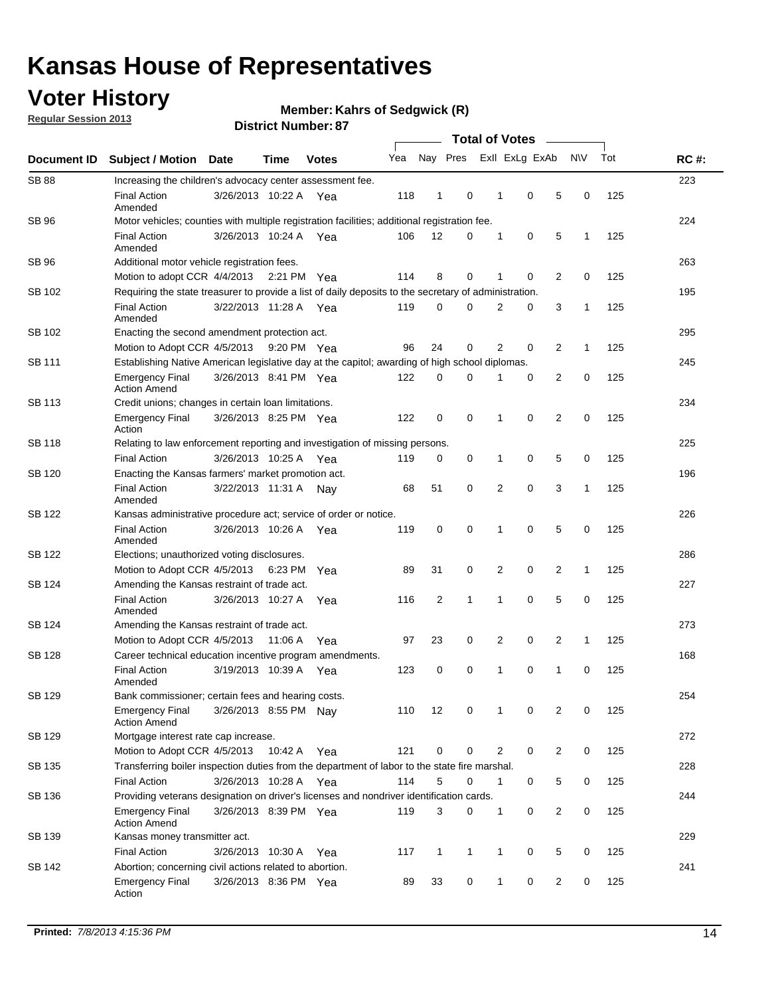## **Voter History**

**Regular Session 2013**

**Member: Kahrs of Sedgwick (R)** 

|                    |                                                                                                       | וט , וסעווווטרו, ועו ווכוש | <b>Total of Votes</b> |              |     |              |              |  |                |                |                |              |     |             |
|--------------------|-------------------------------------------------------------------------------------------------------|----------------------------|-----------------------|--------------|-----|--------------|--------------|--|----------------|----------------|----------------|--------------|-----|-------------|
| <b>Document ID</b> | <b>Subject / Motion</b>                                                                               | <b>Date</b>                | <b>Time</b>           | <b>Votes</b> | Yea |              | Nay Pres     |  |                | Exll ExLg ExAb |                | <b>NV</b>    | Tot | <b>RC#:</b> |
| <b>SB 88</b>       | Increasing the children's advocacy center assessment fee.                                             |                            |                       |              |     |              |              |  |                |                |                |              |     | 223         |
|                    | <b>Final Action</b><br>Amended                                                                        | 3/26/2013 10:22 A Yea      |                       |              | 118 | $\mathbf{1}$ | 0            |  | $\mathbf 1$    | 0              | 5              | 0            | 125 |             |
| SB 96              | Motor vehicles; counties with multiple registration facilities; additional registration fee.          |                            |                       |              |     |              |              |  |                |                |                |              |     | 224         |
|                    | <b>Final Action</b><br>Amended                                                                        | 3/26/2013 10:24 A          |                       | Yea          | 106 | 12           | 0            |  | 1              | 0              | 5              | 1            | 125 |             |
| SB 96              | Additional motor vehicle registration fees.                                                           |                            |                       |              |     |              |              |  |                |                |                |              |     | 263         |
|                    | Motion to adopt CCR 4/4/2013                                                                          |                            | 2:21 PM Yea           |              | 114 | 8            | 0            |  | 1              | 0              | $\overline{2}$ | 0            | 125 |             |
| SB 102             | Requiring the state treasurer to provide a list of daily deposits to the secretary of administration. |                            |                       |              |     |              |              |  |                |                |                |              |     | 195         |
|                    | <b>Final Action</b><br>Amended                                                                        | 3/22/2013 11:28 A          |                       | Yea          | 119 | 0            | 0            |  | 2              | 0              | 3              | 1            | 125 |             |
| SB 102             | Enacting the second amendment protection act.                                                         |                            |                       |              |     |              |              |  |                |                |                |              |     | 295         |
|                    | Motion to Adopt CCR 4/5/2013                                                                          |                            | 9:20 PM Yea           |              | 96  | 24           | 0            |  | $\overline{2}$ | 0              | $\overline{2}$ | 1            | 125 |             |
| SB 111             | Establishing Native American legislative day at the capitol; awarding of high school diplomas.        |                            |                       |              |     |              |              |  |                |                |                |              | 245 |             |
|                    | <b>Emergency Final</b><br><b>Action Amend</b>                                                         | 3/26/2013 8:41 PM Yea      |                       |              | 122 | 0            | $\Omega$     |  |                | 0              | $\overline{2}$ | 0            | 125 |             |
| SB 113             | Credit unions; changes in certain loan limitations.                                                   |                            |                       |              |     |              |              |  |                |                |                |              |     | 234         |
|                    | <b>Emergency Final</b><br>Action                                                                      | 3/26/2013 8:25 PM Yea      |                       |              | 122 | 0            | 0            |  | 1              | $\mathbf 0$    | $\overline{2}$ | 0            | 125 |             |
| <b>SB 118</b>      | Relating to law enforcement reporting and investigation of missing persons.                           |                            |                       |              |     |              |              |  |                |                |                |              |     | 225         |
|                    | <b>Final Action</b>                                                                                   | 3/26/2013 10:25 A          |                       | Yea          | 119 | 0            | 0            |  | 1              | 0              | 5              | 0            | 125 |             |
| SB 120             | Enacting the Kansas farmers' market promotion act.                                                    |                            |                       |              |     |              |              |  |                |                |                |              |     | 196         |
|                    | <b>Final Action</b><br>Amended                                                                        | 3/22/2013 11:31 A          |                       | Nav          | 68  | 51           | 0            |  | 2              | $\mathbf 0$    | 3              | 1            | 125 |             |
| SB 122             | Kansas administrative procedure act; service of order or notice.                                      |                            |                       |              |     |              |              |  |                |                |                |              |     | 226         |
|                    | <b>Final Action</b><br>Amended                                                                        | 3/26/2013 10:26 A          |                       | Yea          | 119 | 0            | 0            |  | 1              | 0              | 5              | 0            | 125 |             |
| SB 122             | Elections; unauthorized voting disclosures.                                                           |                            |                       |              |     |              |              |  |                |                |                |              |     | 286         |
|                    | Motion to Adopt CCR 4/5/2013                                                                          |                            | 6:23 PM               | Yea          | 89  | 31           | 0            |  | 2              | 0              | $\overline{2}$ | $\mathbf{1}$ | 125 |             |
| SB 124             | Amending the Kansas restraint of trade act.                                                           |                            |                       |              |     |              |              |  |                |                |                |              |     | 227         |
|                    | <b>Final Action</b><br>Amended                                                                        | 3/26/2013 10:27 A          |                       | Yea          | 116 | 2            | 1            |  | 1              | $\mathbf 0$    | 5              | $\mathbf 0$  | 125 |             |
| SB 124             | Amending the Kansas restraint of trade act.                                                           |                            |                       |              |     |              |              |  |                |                |                |              |     | 273         |
|                    | Motion to Adopt CCR 4/5/2013                                                                          |                            | 11:06 A               | Yea          | 97  | 23           | 0            |  | 2              | 0              | $\overline{2}$ | 1            | 125 |             |
| SB 128             | Career technical education incentive program amendments.                                              |                            |                       |              |     |              |              |  |                |                |                |              |     | 168         |
|                    | <b>Final Action</b><br>Amended                                                                        | 3/19/2013 10:39 A          |                       | Yea          | 123 | 0            | 0            |  | 1              | 0              | 1              | 0            | 125 |             |
| SB 129             | Bank commissioner; certain fees and hearing costs.                                                    |                            |                       |              |     |              |              |  |                |                |                |              |     | 254         |
|                    | <b>Emergency Final</b><br><b>Action Amend</b>                                                         | 3/26/2013 8:55 PM Nay      |                       |              | 110 | 12           | 0            |  | 1              | 0              | 2              | 0            | 125 |             |
| SB 129             | Mortgage interest rate cap increase.                                                                  |                            |                       |              |     |              |              |  |                |                |                |              |     | 272         |
|                    | Motion to Adopt CCR 4/5/2013                                                                          |                            | 10:42 A Yea           |              | 121 | 0            | 0            |  | 2              | 0              | $\overline{2}$ | 0            | 125 |             |
| SB 135             | Transferring boiler inspection duties from the department of labor to the state fire marshal.         |                            |                       |              |     |              |              |  |                |                |                |              |     | 228         |
|                    | <b>Final Action</b>                                                                                   | 3/26/2013 10:28 A Yea      |                       |              | 114 | 5            | 0            |  | $\mathbf{1}$   | 0              | 5              | 0            | 125 |             |
| SB 136             | Providing veterans designation on driver's licenses and nondriver identification cards.               |                            |                       |              |     |              |              |  |                |                |                |              |     | 244         |
|                    | <b>Emergency Final</b><br><b>Action Amend</b>                                                         | 3/26/2013 8:39 PM Yea      |                       |              | 119 | 3            | 0            |  | $\mathbf{1}$   | 0              | $\overline{2}$ | 0            | 125 |             |
| SB 139             | Kansas money transmitter act.                                                                         |                            |                       |              |     |              |              |  |                |                |                |              |     | 229         |
|                    | <b>Final Action</b>                                                                                   | 3/26/2013 10:30 A Yea      |                       |              | 117 | $\mathbf{1}$ | $\mathbf{1}$ |  | $\mathbf{1}$   | $\mathbf 0$    | 5              | 0            | 125 |             |
| SB 142             | Abortion; concerning civil actions related to abortion.                                               |                            |                       |              |     |              |              |  |                |                |                |              |     | 241         |
|                    | <b>Emergency Final</b><br>Action                                                                      | 3/26/2013 8:36 PM Yea      |                       |              | 89  | 33           | 0            |  | 1              | 0              | $\overline{2}$ | $\mathbf 0$  | 125 |             |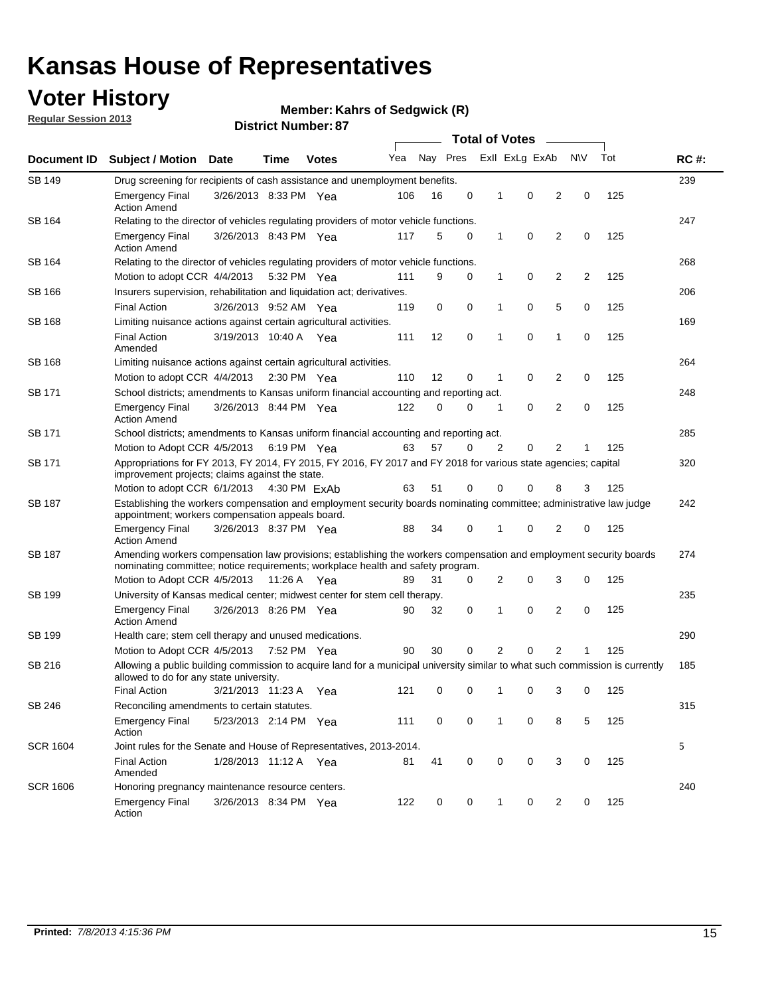## **Voter History**

**Member: Kahrs of Sedgwick (R)** 

**Regular Session 2013**

| Document ID     |                                                                                                                                                                                                       |                                                                                                                                                                         |             |              |     |          | <b>Total of Votes</b> |   |                | $\sim$         |           |     | <b>RC#:</b> |
|-----------------|-------------------------------------------------------------------------------------------------------------------------------------------------------------------------------------------------------|-------------------------------------------------------------------------------------------------------------------------------------------------------------------------|-------------|--------------|-----|----------|-----------------------|---|----------------|----------------|-----------|-----|-------------|
|                 | <b>Subject / Motion Date</b>                                                                                                                                                                          |                                                                                                                                                                         | Time        | <b>Votes</b> | Yea | Nay Pres |                       |   | Exll ExLg ExAb |                | <b>NV</b> | Tot |             |
| <b>SB 149</b>   | Drug screening for recipients of cash assistance and unemployment benefits.                                                                                                                           |                                                                                                                                                                         |             |              |     |          |                       |   |                |                |           |     | 239         |
|                 | <b>Emergency Final</b><br><b>Action Amend</b>                                                                                                                                                         | 3/26/2013 8:33 PM Yea                                                                                                                                                   |             |              | 106 | 16       | 0                     | 1 | 0              | 2              | 0         | 125 |             |
| SB 164          | Relating to the director of vehicles regulating providers of motor vehicle functions.                                                                                                                 |                                                                                                                                                                         |             |              |     |          |                       |   |                |                |           |     | 247         |
|                 | <b>Emergency Final</b><br><b>Action Amend</b>                                                                                                                                                         | 3/26/2013 8:43 PM Yea                                                                                                                                                   |             |              | 117 | 5        | 0                     | 1 | 0              | 2              | 0         | 125 |             |
| SB 164          | Relating to the director of vehicles regulating providers of motor vehicle functions.                                                                                                                 |                                                                                                                                                                         |             |              |     |          |                       |   |                |                |           |     | 268         |
|                 | Motion to adopt CCR 4/4/2013                                                                                                                                                                          |                                                                                                                                                                         | 5:32 PM Yea |              | 111 | 9        | 0                     | 1 | 0              | 2              | 2         | 125 |             |
| SB 166          | Insurers supervision, rehabilitation and liquidation act; derivatives.                                                                                                                                |                                                                                                                                                                         |             |              |     |          |                       |   |                |                |           |     | 206         |
|                 | <b>Final Action</b>                                                                                                                                                                                   | 3/26/2013 9:52 AM Yea                                                                                                                                                   |             |              | 119 | 0        | 0                     | 1 | 0              | 5              | 0         | 125 |             |
| SB 168          | Limiting nuisance actions against certain agricultural activities.                                                                                                                                    |                                                                                                                                                                         |             |              |     |          |                       |   |                |                |           |     | 169         |
|                 | <b>Final Action</b><br>Amended                                                                                                                                                                        | 3/19/2013 10:40 A Yea                                                                                                                                                   |             |              | 111 | 12       | 0                     | 1 | 0              | 1              | 0         | 125 |             |
| SB 168          | Limiting nuisance actions against certain agricultural activities.                                                                                                                                    |                                                                                                                                                                         |             |              |     |          |                       |   |                |                |           |     | 264         |
|                 | Motion to adopt CCR 4/4/2013                                                                                                                                                                          |                                                                                                                                                                         |             | 2:30 PM Yea  | 110 | 12       | 0                     | 1 | 0              | 2              | 0         | 125 |             |
| <b>SB 171</b>   | School districts; amendments to Kansas uniform financial accounting and reporting act.                                                                                                                |                                                                                                                                                                         |             |              |     |          |                       |   |                |                |           |     | 248         |
|                 | <b>Emergency Final</b><br><b>Action Amend</b>                                                                                                                                                         | 3/26/2013 8:44 PM Yea                                                                                                                                                   |             |              | 122 | 0        | 0                     | 1 | 0              | 2              | 0         | 125 |             |
| SB 171          | School districts; amendments to Kansas uniform financial accounting and reporting act.                                                                                                                |                                                                                                                                                                         |             |              |     |          |                       |   |                |                |           | 285 |             |
|                 | Motion to Adopt CCR 4/5/2013                                                                                                                                                                          |                                                                                                                                                                         | 6:19 PM Yea |              | 63  | 57       | 0                     | 2 | 0              | 2              |           |     |             |
| SB 171          | Appropriations for FY 2013, FY 2014, FY 2015, FY 2016, FY 2017 and FY 2018 for various state agencies; capital<br>improvement projects; claims against the state.                                     |                                                                                                                                                                         |             |              |     |          |                       |   |                |                |           | 320 |             |
|                 | Motion to adopt CCR 6/1/2013 4:30 PM ExAb                                                                                                                                                             |                                                                                                                                                                         |             |              | 63  | 51       | 0                     | 0 | 0              | 8              | 3         | 125 |             |
| SB 187          |                                                                                                                                                                                                       | Establishing the workers compensation and employment security boards nominating committee; administrative law judge<br>appointment; workers compensation appeals board. |             |              |     |          |                       |   |                |                |           |     | 242         |
|                 | <b>Emergency Final</b><br><b>Action Amend</b>                                                                                                                                                         | 3/26/2013 8:37 PM Yea                                                                                                                                                   |             |              | 88  | 34       | 0                     | 1 | 0              | 2              | 0         | 125 |             |
| SB 187          | Amending workers compensation law provisions; establishing the workers compensation and employment security boards<br>nominating committee; notice requirements; workplace health and safety program. |                                                                                                                                                                         |             |              |     |          |                       |   |                |                |           |     | 274         |
|                 | Motion to Adopt CCR 4/5/2013 11:26 A Yea                                                                                                                                                              |                                                                                                                                                                         |             |              | 89  | 31       | 0                     | 2 | 0              | 3              | 0         | 125 |             |
| SB 199          | University of Kansas medical center; midwest center for stem cell therapy.                                                                                                                            |                                                                                                                                                                         |             |              |     |          |                       |   |                |                |           |     | 235         |
|                 | <b>Emergency Final</b><br><b>Action Amend</b>                                                                                                                                                         | 3/26/2013 8:26 PM Yea                                                                                                                                                   |             |              | 90  | 32       | 0                     | 1 | 0              | 2              | 0         | 125 |             |
| SB 199          | Health care; stem cell therapy and unused medications.                                                                                                                                                |                                                                                                                                                                         |             |              |     |          |                       |   |                |                |           |     | 290         |
|                 | Motion to Adopt CCR 4/5/2013                                                                                                                                                                          |                                                                                                                                                                         | 7:52 PM Yea |              | 90  | 30       | 0                     | 2 | 0              | $\overline{2}$ | 1         | 125 |             |
| SB 216          | Allowing a public building commission to acquire land for a municipal university similar to what such commission is currently<br>allowed to do for any state university.                              |                                                                                                                                                                         |             |              |     |          |                       |   |                |                |           |     | 185         |
|                 | <b>Final Action</b>                                                                                                                                                                                   | 3/21/2013 11:23 A Yea                                                                                                                                                   |             |              | 121 | 0        | 0                     | 1 | 0              | 3              | 0         | 125 |             |
| SB 246          | Reconciling amendments to certain statutes.                                                                                                                                                           |                                                                                                                                                                         |             |              |     |          |                       |   |                |                |           |     | 315         |
|                 | <b>Emergency Final</b><br>Action                                                                                                                                                                      | 5/23/2013 2:14 PM Yea                                                                                                                                                   |             |              | 111 | 0        | 0                     | 1 | 0              | 8              | 5         | 125 |             |
| <b>SCR 1604</b> | Joint rules for the Senate and House of Representatives, 2013-2014.                                                                                                                                   |                                                                                                                                                                         |             |              |     |          |                       |   |                |                |           |     | 5           |
|                 | <b>Final Action</b><br>Amended                                                                                                                                                                        | 1/28/2013 11:12 A Yea                                                                                                                                                   |             |              | 81  | 41       | 0                     | 0 | 0              | 3              | 0         | 125 |             |
| <b>SCR 1606</b> |                                                                                                                                                                                                       | Honoring pregnancy maintenance resource centers.                                                                                                                        |             |              |     |          |                       |   |                |                |           | 240 |             |
|                 | <b>Emergency Final</b><br>Action                                                                                                                                                                      | 3/26/2013 8:34 PM Yea                                                                                                                                                   |             |              | 122 | 0        | 0                     | 1 | 0              | 2              | 0         | 125 |             |